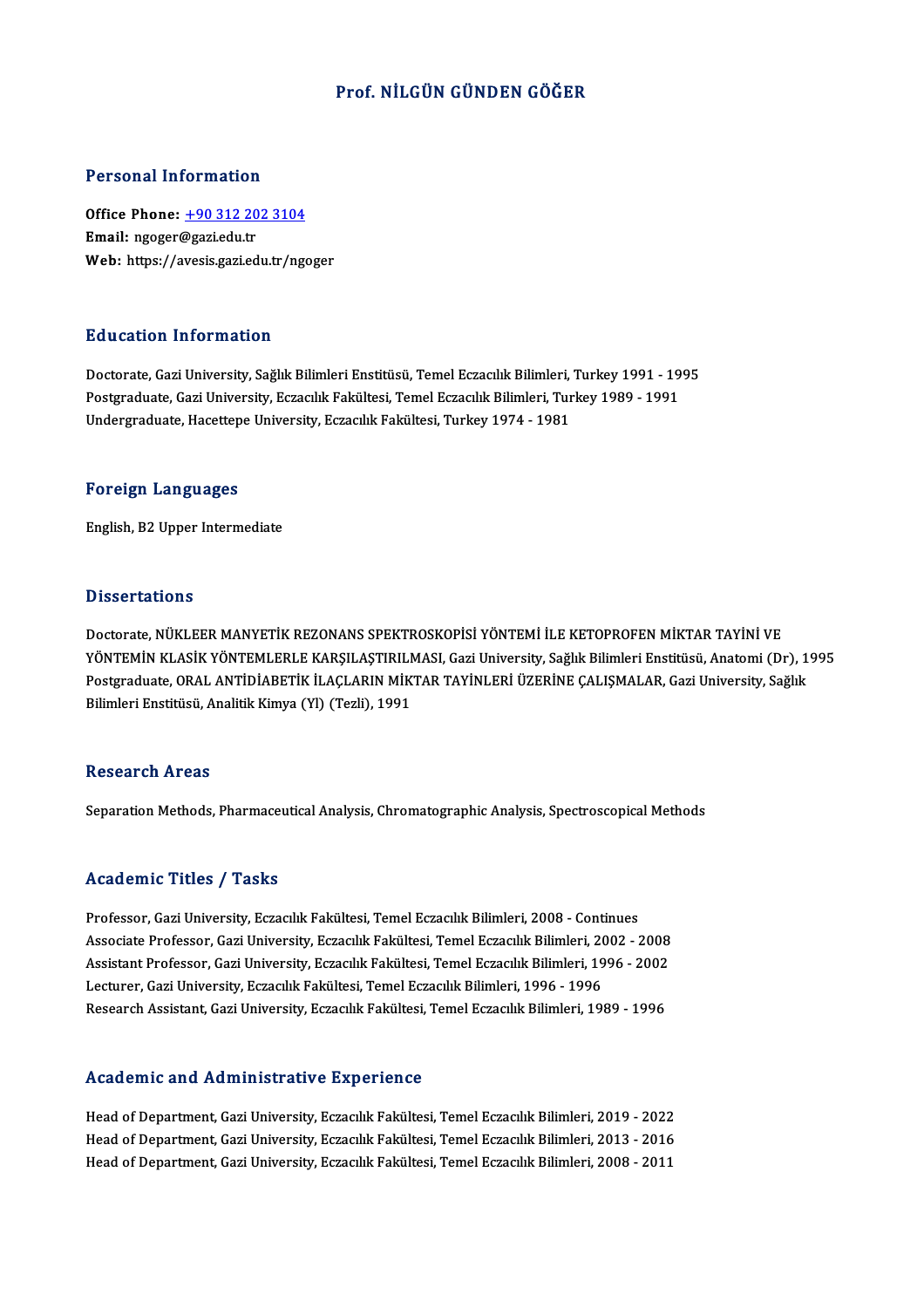## Prof.NİLGÜN GÜNDEN GÖĞER

### Personal Information

Personal Information<br>Office Phone: <u>+90 312 202 3104</u><br>Email: ngogor@gazi.edu.tr 1 STOOMAT MITST MACION<br>Office Phone: <u>+90 312 20</u><br>Email: ngoger@gazi.edu.tr Email: ngoger@gazi.edu.tr<br>Web: https://a[vesis.gazi.edu.tr/ng](tel:+90 312 202 3104)oger

### Education Information

Doctorate, Gazi University, Sağlık Bilimleri Enstitüsü, Temel Eczacılık Bilimleri, Turkey 1991 - 1995 Pu u sutrom minominusion<br>Doctorate, Gazi University, Sağlık Bilimleri Enstitüsü, Temel Eczacılık Bilimleri, Turkey 1991 - 19<br>Postgraduate, Gazi University, Eczacılık Fakültesi, Temel Eczacılık Bilimleri, Turkey 1989 - 1991 Doctorate, Gazi University, Sağlık Bilimleri Enstitüsü, Temel Eczacılık Bilimleri,<br>Postgraduate, Gazi University, Eczacılık Fakültesi, Temel Eczacılık Bilimleri, Tur<br>Undergraduate, Hacettepe University, Eczacılık Fakültesi Undergraduate, Hacettepe University, Eczacılık Fakültesi, Turkey 1974 - 1981<br>Foreign Languages

English,B2Upper Intermediate

### **Dissertations**

Doctorate, NÜKLEER MANYETİK REZONANS SPEKTROSKOPİSİ YÖNTEMİ İLE KETOPROFEN MİKTAR TAYİNİ VE YÖNTEMİN KLASİK YÖNTEMLERLE KARŞILAŞTIRILMASI, Gazi University, Sağlık Bilimleri Enstitüsü, Anatomi (Dr), 1995 Postgraduate, ORAL ANTİDİABETİK İLAÇLARIN MİKTAR TAYİNLERİ ÜZERİNE ÇALIŞMALAR, Gazi University, Sağlık Bilimleri Enstitüsü, Analitik Kimya (Yl) (Tezli), 1991

### **Research Areas**

Separation Methods, Pharmaceutical Analysis, Chromatographic Analysis, Spectroscopical Methods

## Academic Titles / Tasks

Professor, Gazi University, Eczacılık Fakültesi, Temel Eczacılık Bilimleri, 2008 - Continues Associate Articus 7 - 1 1911<br>Professor, Gazi University, Eczacılık Fakültesi, Temel Eczacılık Bilimleri, 2008 - Continues<br>Associate Professor, Gazi University, Eczacılık Fakültesi, Temel Eczacılık Bilimleri, 2002 - 2008<br>As Professor, Gazi University, Eczacılık Fakültesi, Temel Eczacılık Bilimleri, 2008 - Continues<br>Associate Professor, Gazi University, Eczacılık Fakültesi, Temel Eczacılık Bilimleri, 2002 - 2008<br>Assistant Professor, Gazi Unive Associate Professor, Gazi University, Eczacılık Fakültesi, Temel Eczacılık Bilimleri, 20<br>Assistant Professor, Gazi University, Eczacılık Fakültesi, Temel Eczacılık Bilimleri, 19<br>Lecturer, Gazi University, Eczacılık Fakülte Assistant Professor, Gazi University, Eczacılık Fakültesi, Temel Eczacılık Bilimleri, 1996 - 2002<br>Lecturer, Gazi University, Eczacılık Fakültesi, Temel Eczacılık Bilimleri, 1996 - 1996<br>Research Assistant, Gazi University,

### Academic and Administrative Experience

Academic and Administrative Experience<br>Head of Department, Gazi University, Eczacılık Fakültesi, Temel Eczacılık Bilimleri, 2019 - 2022<br>Head of Department, Gazi University, Eczacılık Fakültesi, Temel Eczacılık Bilimleri, 2 Head of Department, Gazi University, Eczacılık Fakültesi, Temel Eczacılık Bilimleri, 2019 - 2022<br>Head of Department, Gazi University, Eczacılık Fakültesi, Temel Eczacılık Bilimleri, 2013 - 2016<br>Head of Department, Gazi Uni Head of Department, Gazi University, Eczacılık Fakültesi, Temel Eczacılık Bilimleri, 2013 - 2016<br>Head of Department, Gazi University, Eczacılık Fakültesi, Temel Eczacılık Bilimleri, 2008 - 2011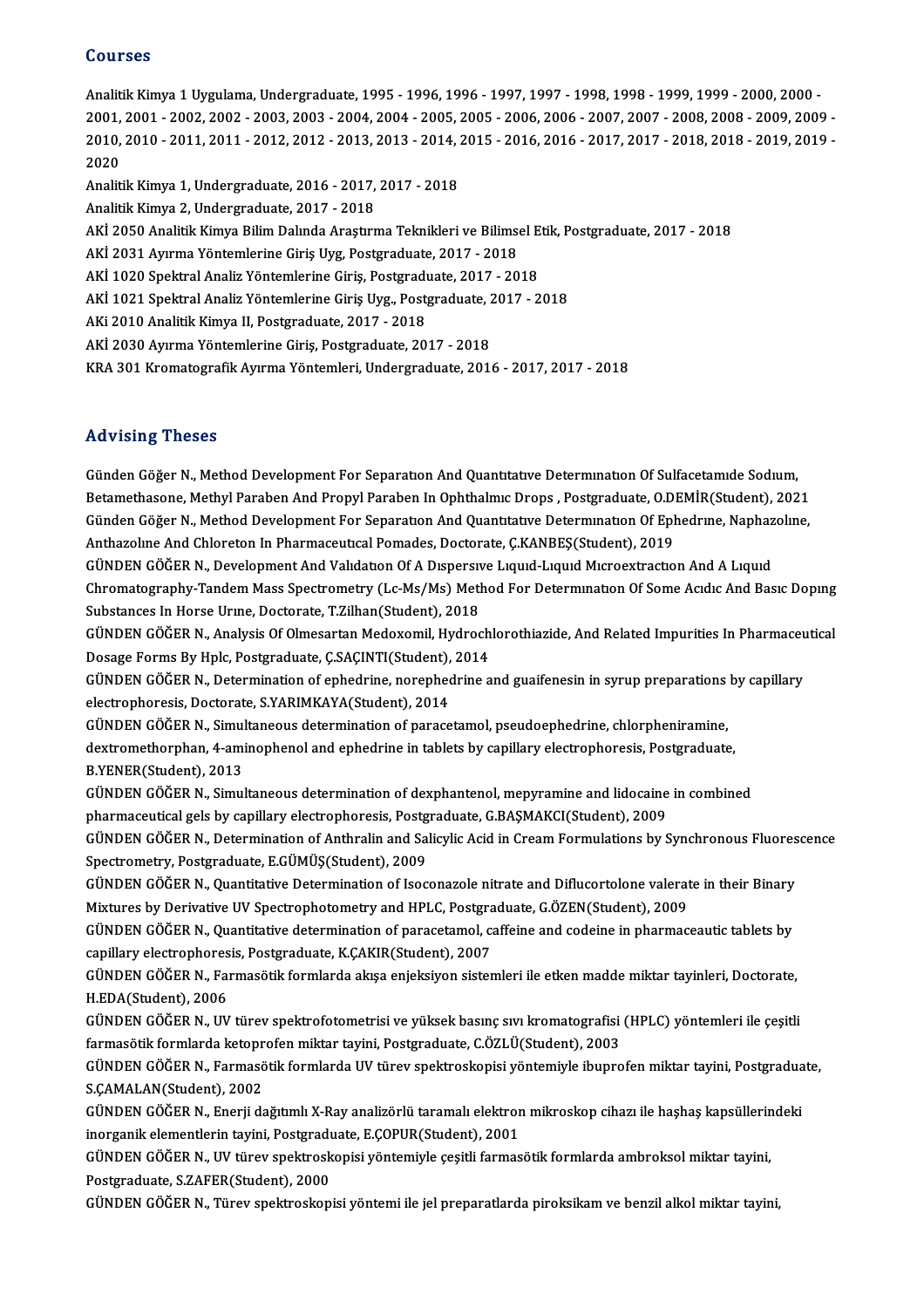### Courses

Courses<br>Analitik Kimya 1 Uygulama, Undergraduate, 1995 - 1996, 1996 - 1997, 1997 - 1998, 1998 - 1999, 1999 - 2000, 200<br>2001, 2001, 2002, 2002, 2002, 2002, 2004, 2004, 2005, 2005, 2006, 2006, 2007, 2007, 2008, 2009, 2000, 2 20011999<br>Analitik Kimya 1 Uygulama, Undergraduate, 1995 - 1996, 1996 - 1997, 1997 - 1998, 1998 - 1999, 1999 - 2000, 200<br>2001, 2001 - 2002, 2002 - 2003, 2003 - 2004, 2004 - 2005, 2005 - 2006, 2006 - 2007, 2007 - 2008, 2008 Analitik Kimya 1 Uygulama, Undergraduate, 1995 - 1996, 1996 - 1997, 1997 - 1998, 1998 - 1999, 1999 - 2000, 2000<br>2001, 2001 - 2002, 2002 - 2003, 2003 - 2004, 2004 - 2005, 2005 - 2006, 2006 - 2007, 2007 - 2008, 2008 - 2009, 2001,<br>2010,<br>2020 2010, 2010 - 2011, 2011 - 2012, 2012 - 2013, 2013 - 2014, .<br>2020<br>Analitik Kimya 1, Undergraduate, 2016 - 2017, 2017 - 2018<br>Analitik Kimya 2, Undergraduate, 2017, 2018 2020<br>Analitik Kimya 1, Undergraduate, 2016 - 2017, 2017 - 2018<br>Analitik Kimya 2, Undergraduate, 2017 - 2018 Analitik Kimya 1, Undergraduate, 2016 - 2017, 2017 - 2018<br>Analitik Kimya 2, Undergraduate, 2017 - 2018<br>AKİ 2050 Analitik Kimya Bilim Dalında Araştırma Teknikleri ve Bilimsel Etik, Postgraduate, 2017 - 2018<br>AKİ 2021 Ayırma Analitik Kimya 2, Undergraduate, 2017 - 2018<br>AKİ 2050 Analitik Kimya Bilim Dalında Araştırma Teknikleri ve Bilims<br>AKİ 2031 Ayırma Yöntemlerine Giriş Uyg, Postgraduate, 2017 - 2018<br>AKİ 1020 Spektral Analiz Yöntemlerine Giri AKİ 2050 Analitik Kimya Bilim Dalında Araştırma Teknikleri ve Bilimsel E<br>AKİ 2031 Ayırma Yöntemlerine Giriş Uyg, Postgraduate, 2017 - 2018<br>AKİ 1020 Spektral Analiz Yöntemlerine Giriş, Postgraduate, 2017 - 2018<br>AKİ 1021 Spe AKİ 2031 Ayırma Yöntemlerine Giriş Uyg, Postgraduate, 2017 - 2018<br>AKİ 1020 Spektral Analiz Yöntemlerine Giriş, Postgraduate, 2017 - 2018<br>AKİ 1021 Spektral Analiz Yöntemlerine Giriş Uyg., Postgraduate, 2017 - 2018<br>AKi 2010 AKİ 1020 Spektral Analiz Yöntemlerine Giriş, Postgraduate, 2017 - 2018<br>AKİ 1021 Spektral Analiz Yöntemlerine Giriş Uyg., Postgraduate, 2017 - 2<br>AKİ 2010 Analitik Kimya II, Postgraduate, 2017 - 2018<br>AKİ 2030 Ayırma Yöntemle AKİ 1021 Spektral Analiz Yöntemlerine Giriş Uyg., Postgraduate, 2<br>AKi 2010 Analitik Kimya II, Postgraduate, 2017 - 2018<br>AKİ 2030 Ayırma Yöntemlerine Giriş, Postgraduate, 2017 - 2018<br>KRA 201 Kromatografik Ayunna Yöntemleri, KRA301KromatografikAyırmaYöntemleri,Undergraduate,2016 -2017,2017 -2018

## Advising Theses

Günden Göğer N., Method Development For Separation And Quantitative Determination Of Sulfacetamide Sodium, raav romg virosos<br>Günden Göğer N., Method Development For Separation And Quantitative Determination Of Sulfacetamide Sodium,<br>Betamethasone, Methyl Paraben And Propyl Paraben In Ophthalmic Drops , Postgraduate, O.DEMİR(Stud Günden Göğer N., Method Development For Separation And Quantitative Determination Of Sulfacetamide Sodium,<br>Betamethasone, Methyl Paraben And Propyl Paraben In Ophthalmic Drops , Postgraduate, O.DEMİR(Student), 2021<br>Günden Betamethasone, Methyl Paraben And Propyl Paraben In Ophthalmıc Drops , Postgraduate, O.D.<br>Günden Göğer N., Method Development For Separation And Quantitative Determination Of Eph<br>Anthazoline And Chloreton In Pharmaceutical Günden Göğer N., Method Development For Separation And Quantitative Determination Of Ephedrine, Naphazoline,<br>Anthazoline And Chloreton In Pharmaceutical Pomades, Doctorate, Ç.KANBEŞ(Student), 2019<br>GÜNDEN GÖĞER N., Developm

Anthazoline And Chloreton In Pharmaceutical Pomades, Doctorate, Ç.KANBEŞ(Student), 2019<br>GÜNDEN GÖĞER N., Development And Validation Of A Dispersive Liquid-Liquid Microextraction And A Liquid<br>Chromatography-Tandem Mass Spec GÜNDEN GÖĞER N., Development And Valıdatıon Of A Dispersiy<br>Chromatography-Tandem Mass Spectrometry (Lc-Ms/Ms) Metl<br>Substances In Horse Urine, Doctorate, T.Zilhan(Student), 2018<br>CÜNDEN GÖĞER N., Anakras Of Olmasartan Madaya Chromatography-Tandem Mass Spectrometry (Lc-Ms/Ms) Method For Determination Of Some Acidic And Basic Doping<br>Substances In Horse Urine, Doctorate, T.Zilhan(Student), 2018<br>GÜNDEN GÖĞER N., Analysis Of Olmesartan Medoxomil, H

Substances In Horse Urme, Doctorate, T.Zilhan(Student), 2018<br>GÜNDEN GÖĞER N., Analysis Of Olmesartan Medoxomil, Hydroch<br>Dosage Forms By Hplc, Postgraduate, Ç.SAÇINTI(Student), 2014<br>GÜNDEN GÖĞER N., Determination of ophodri GÜNDEN GÖĞER N., Analysis Of Olmesartan Medoxomil, Hydrochlorothiazide, And Related Impurities In Pharmaceu<br>Dosage Forms By Hplc, Postgraduate, Ç.SAÇINTI(Student), 2014<br>GÜNDEN GÖĞER N., Determination of ephedrine, norephed

Dosage Forms By Hplc, Postgraduate, Ç.SAÇINTI(Student), 2014<br>GÜNDEN GÖĞER N., Determination of ephedrine, norephedrine and guaifenesin in syrup preparations<br>electrophoresis, Doctorate, S.YARIMKAYA(Student), 2014<br>GÜNDEN GÖĞ GÜNDEN GÖĞER N., Determination of ephedrine, norephedrine and guaifenesin in syrup preparations by capillary

electrophoresis, Doctorate, S.YARIMKAYA(Student), 2014<br>GÜNDEN GÖĞER N., Simultaneous determination of paracetamol, pseudoephedrine, chlorpheniramine,<br>dextromethorphan, 4-aminophenol and ephedrine in tablets by capillary el GÜNDEN GÖĞER N., Simul<br>dextromethorphan, 4-ami<br>B.YENER(Student), 2013<br>CÜNDEN GÖĞER N., Simul dextromethorphan, 4-aminophenol and ephedrine in tablets by capillary electrophoresis, Postgraduate,<br>B.YENER(Student), 2013<br>GÜNDEN GÖĞER N., Simultaneous determination of dexphantenol, mepyramine and lidocaine in combined<br>

B.YENER(Student), 2013<br>GÜNDEN GÖĞER N., Simultaneous determination of dexphantenol, mepyramine and lidocaine<br>pharmaceutical gels by capillary electrophoresis, Postgraduate, G.BAŞMAKCI(Student), 2009<br>CÜNDEN GÖĞER N., Determ GÜNDEN GÖĞER N., Simultaneous determination of dexphantenol, mepyramine and lidocaine in combined<br>pharmaceutical gels by capillary electrophoresis, Postgraduate, G.BAŞMAKCI(Student), 2009<br>GÜNDEN GÖĞER N., Determination of

pharmaceutical gels by capillary electrophoresis, Postg<br>GÜNDEN GÖĞER N., Determination of Anthralin and Sal<br>Spectrometry, Postgraduate, E.GÜMÜŞ(Student), 2009<br>CÜNDEN GÖĞER N. Quantitative Determination of ISOG GÜNDEN GÖĞER N., Determination of Anthralin and Salicylic Acid in Cream Formulations by Synchronous Fluores<br>Spectrometry, Postgraduate, E.GÜMÜŞ(Student), 2009<br>GÜNDEN GÖĞER N., Quantitative Determination of Isoconazole nitr

Spectrometry, Postgraduate, E.GÜMÜŞ(Student), 2009<br>GÜNDEN GÖĞER N., Quantitative Determination of Isoconazole nitrate and Diflucortolone valerat<br>Mixtures by Derivative UV Spectrophotometry and HPLC, Postgraduate, G.ÖZEN(St

GÜNDEN GÖĞER N., Quantitative Determination of Isoconazole nitrate and Diflucortolone valerate in their Binary<br>Mixtures by Derivative UV Spectrophotometry and HPLC, Postgraduate, G.ÖZEN(Student), 2009<br>GÜNDEN GÖĞER N., Quan Mixtures by Derivative UV Spectrophotometry and HPLC, Postgraduate, CONDEN GÖĞER N., Quantitative determination of paracetamol, capillary electrophoresis, Postgraduate, K.ÇAKIR(Student), 2007<br>CÜNDEN GÖĞER N., Formasötik fo GÜNDEN GÖĞER N., Quantitative determination of paracetamol, caffeine and codeine in pharmaceautic tablets by<br>capillary electrophoresis, Postgraduate, K.ÇAKIR(Student), 2007<br>GÜNDEN GÖĞER N., Farmasötik formlarda akışa enjek

capillary electrophores<br>GÜNDEN GÖĞER N., Fa<br>H.EDA(Student), 2006<br>GÜNDEN GÖĞER N., UV GÜNDEN GÖĞER N., Farmasötik formlarda akışa enjeksiyon sistemleri ile etken madde miktar tayinleri, Doctorate,<br>H.EDA(Student), 2006<br>GÜNDEN GÖĞER N., UV türev spektrofotometrisi ve yüksek basınç sıvı kromatografisi (HPLC) y

H.EDA(Student), 2006<br>GÜNDEN GÖĞER N., UV türev spektrofotometrisi ve yüksek basınç sıvı kromatografisi<br>farmasötik formlarda ketoprofen miktar tayini, Postgraduate, C.ÖZLÜ(Student), 2003<br>CÜNDEN GÖĞER N., Farmasötik formlard

GÜNDEN GÖĞER N., UV türev spektrofotometrisi ve yüksek basınç sıvı kromatografisi (HPLC) yöntemleri ile çeşitli<br>farmasötik formlarda ketoprofen miktar tayini, Postgraduate, C.ÖZLÜ(Student), 2003<br>GÜNDEN GÖĞER N., Farmasötik farmasötik formlarda ketopr<br>GÜNDEN GÖĞER N., Farmasö<br>S.ÇAMALAN(Student), 2002<br>GÜNDEN GÖĞER N., Enerii de GÜNDEN GÖĞER N., Farmasötik formlarda UV türev spektroskopisi yöntemiyle ibuprofen miktar tayini, Postgradua<br>S.ÇAMALAN(Student), 2002<br>GÜNDEN GÖĞER N., Enerji dağıtımlı X-Ray analizörlü taramalı elektron mikroskop cihazı il

S.ÇAMALAN(Student), 2002<br>GÜNDEN GÖĞER N., Enerji dağıtımlı X-Ray analizörlü taramalı elektror<br>inorganik elementlerin tayini, Postgraduate, E.ÇOPUR(Student), 2001<br>GÜNDEN GÖĞER N. UV türev spektraskanisi vöntemiyle sesitli f GÜNDEN GÖĞER N., Enerji dağıtımlı X-Ray analizörlü taramalı elektron mikroskop cihazı ile haşhaş kapsüllerir<br>inorganik elementlerin tayini, Postgraduate, E.ÇOPUR(Student), 2001<br>GÜNDEN GÖĞER N., UV türev spektroskopisi yönt

inorganik elementlerin tayini, Postgradu<br>GÜNDEN GÖĞER N., UV türev spektrosk<br>Postgraduate, S.ZAFER(Student), 2000<br>GÜNDEN GÖĞER N., Türev spektroskan GÜNDEN GÖĞER N., UV türev spektroskopisi yöntemiyle çeşitli farmasötik formlarda ambroksol miktar tayini,<br>Postgraduate, S.ZAFER(Student), 2000<br>GÜNDEN GÖĞER N., Türev spektroskopisi yöntemi ile jel preparatlarda piroksikam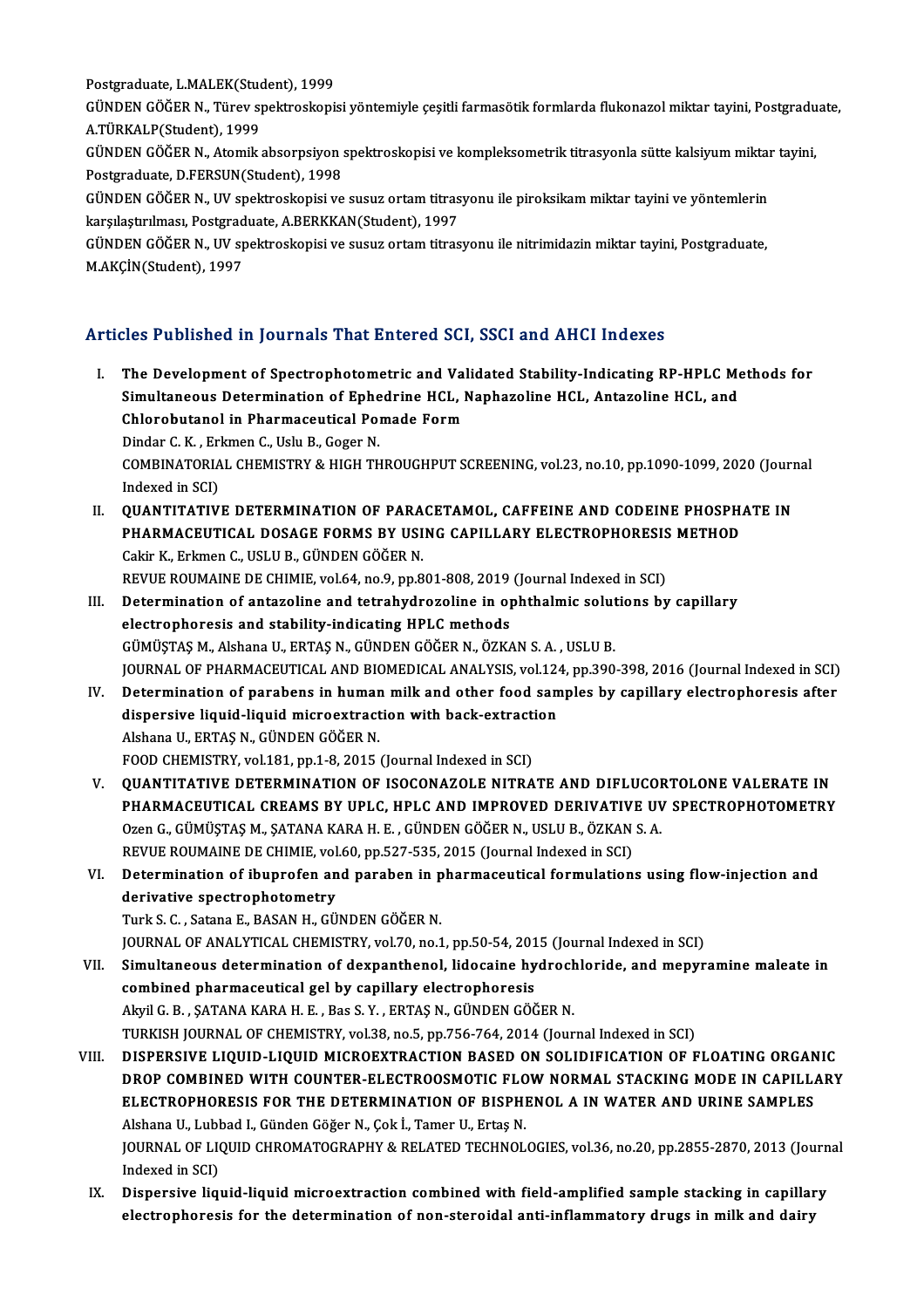Postgraduate, L.MALEK(Student), 1999

Postgraduate, L.MALEK(Student), 1999<br>GÜNDEN GÖĞER N., Türev spektroskopisi yöntemiyle çeşitli farmasötik formlarda flukonazol miktar tayini, Postgraduate,<br>A TÜRKALR(Student), 1999 Postgraduate, L.MALEK(Student)<br>GÜNDEN GÖĞER N., Türev sp<br>A.TÜRKALP(Student), 1999<br>GÜNDEN GÖĞER N., Atamik GÜNDEN GÖĞER N., Türev spektroskopisi yöntemiyle çeşitli farmasötik formlarda flukonazol miktar tayini, Postgradu<br>A.TÜRKALP(Student), 1999<br>GÜNDEN GÖĞER N., Atomik absorpsiyon spektroskopisi ve kompleksometrik titrasyonla s

A.TÜRKALP(Student), 1999<br>GÜNDEN GÖĞER N., Atomik absorpsiyon<br>Postgraduate, D.FERSUN(Student), 1998<br>CÜNDEN GÖĞER N. UV spektreskenisi ve GÜNDEN GÖĞER N., Atomik absorpsiyon spektroskopisi ve kompleksometrik titrasyonla sütte kalsiyum miktar<br>Postgraduate, D.FERSUN(Student), 1998<br>GÜNDEN GÖĞER N., UV spektroskopisi ve susuz ortam titrasyonu ile piroksikam mikt

Postgraduate, D.FERSUN(Student), 1998<br>GÜNDEN GÖĞER N., UV spektroskopisi ve susuz ortam titras<br>karşılaştırılması, Postgraduate, A.BERKKAN(Student), 1997<br>GÜNDEN GÖĞER N. UV spektroskopisi ve susuz ortam titras GÜNDEN GÖĞER N., UV spektroskopisi ve susuz ortam titrasyonu ile piroksikam miktar tayini ve yöntemlerin<br>karşılaştırılması, Postgraduate, A.BERKKAN(Student), 1997<br>GÜNDEN GÖĞER N., UV spektroskopisi ve susuz ortam titrasyon

karşılaştırılması, Postgraduate, A.BERKKAN(Student), 1997<br>GÜNDEN GÖĞER N., UV spektroskopisi ve susuz ortam titrasyonu ile nitrimidazin miktar tayini, Postgraduate,<br>M.AKCİN(Student), 1997

## Articles Published in Journals That Entered SCI, SSCI and AHCI Indexes

- I. The Development of Spectrophotometric and Validated Stability-Indicating RP-HPLC Methods for Sites Published in Journals Phat Entertou bull, 8991 and Three Indexted<br>The Development of Spectrophotometric and Validated Stability-Indicating RP-HPLC Me<br>Simultaneous Determination of Ephedrine HCL, Naphazoline HCL, Anta The Development of Spectrophotometric and Val<br>Simultaneous Determination of Ephedrine HCL, I<br>Chlorobutanol in Pharmaceutical Pomade Form<br>Dinder C. K., Erlman C. Hely B. Coger N Simultaneous Determination of Ephe<br>Chlorobutanol in Pharmaceutical Poi<br>Dindar C. K. , Erkmen C., Uslu B., Goger N.<br>COMBINATOBIAL CHEMISTRY & HIGH TH Chlorobutanol in Pharmaceutical Pomade Form<br>Dindar C. K. , Erkmen C., Uslu B., Goger N.<br>COMBINATORIAL CHEMISTRY & HIGH THROUGHPUT SCREENING, vol.23, no.10, pp.1090-1099, 2020 (Journal<br>Indeved in SCD. Dindar C. K. , Er.<br>COMBINATORIA<br>Indexed in SCI)<br>OUANTITATIV COMBINATORIAL CHEMISTRY & HIGH THROUGHPUT SCREENING, vol.23, no.10, pp.1090-1099, 2020 (Journal)<br>Indexed in SCI)<br>II. QUANTITATIVE DETERMINATION OF PARACETAMOL, CAFFEINE AND CODEINE PHOSPHATE IN
- Indexed in SCI)<br>II. QUANTITATIVE DETERMINATION OF PARACETAMOL, CAFFEINE AND CODEINE PHOSPHATE IN<br>PHARMACEUTICAL DOSAGE FORMS BY USING CAPILLARY ELECTROPHORESIS METHOD Cakir K., Erkmen C., USLU B., GÜNDEN GÖĞER N. REVUE ROUMAINE DE CHIMIE, vol.64, no.9, pp.801-808, 2019 (Journal Indexed in SCI) Cakir K., Erkmen C., USLU B., GÜNDEN GÖĞER N.<br>REVUE ROUMAINE DE CHIMIE, vol.64, no.9, pp.801-808, 2019 (Journal Indexed in SCI)<br>III. Determination of antazoline and tetrahydrozoline in ophthalmic solutions by capillary<br>ele
- REVUE ROUMAINE DE CHIMIE, vol.64, no.9, pp.801-808, 2019<br>Determination of antazoline and tetrahydrozoline in opelectrophoresis and stability-indicating HPLC methods<br>CÜMÜSTAS M. Alshana II, EPTAS N. CÜNDEN CÖĞER N. ÖZK electrophoresis and stability-indicating HPLC methods<br>GÜMÜŞTAŞ M., Alshana U., ERTAŞ N., GÜNDEN GÖĞER N., ÖZKAN S. A. , USLU B. electrophoresis and stability-indicating HPLC methods<br>GÜMÜŞTAŞ M., Alshana U., ERTAŞ N., GÜNDEN GÖĞER N., ÖZKAN S. A. , USLU B.<br>JOURNAL OF PHARMACEUTICAL AND BIOMEDICAL ANALYSIS, vol.124, pp.390-398, 2016 (Journal Indexed GÜMÜŞTAŞ M., Alshana U., ERTAŞ N., GÜNDEN GÖĞER N., ÖZKAN S. A. , USLU B.<br>JOURNAL OF PHARMACEUTICAL AND BIOMEDICAL ANALYSIS, vol.124, pp.390-398, 2016 (Journal Indexed in SCI)<br>IV. Determination of parabens in human milk an
- JOURNAL OF PHARMACEUTICAL AND BIOMEDICAL ANALYSIS, vol.12<br>Determination of parabens in human milk and other food sandispersive liquid-liquid microextraction with back-extraction<br>Alshana U. ERTAS N. CÜNDEN CÖČER N. Determination of parabens in humar<br>dispersive liquid-liquid microextract<br>Alshana U., ERTAŞ N., GÜNDEN GÖĞER N.<br>FOOD CHEMISTEV .vel 191 pp.1-9-2015 . dispersive liquid-liquid microextraction with back-extracti<br>Alshana U., ERTAŞ N., GÜNDEN GÖĞER N.<br>FOOD CHEMISTRY, vol.181, pp.1-8, 2015 (Journal Indexed in SCI)<br>QUANTITATIVE DETERMINATION OF ISOCONAZOLE NITRA Alshana U., ERTAŞ N., GÜNDEN GÖĞER N.<br>FOOD CHEMISTRY, vol.181, pp.1-8, 2015 (Journal Indexed in SCI)<br>V. QUANTITATIVE DETERMINATION OF ISOCONAZOLE NITRATE AND DIFLUCORTOLONE VALERATE IN
- PHARMACEUTICAL CREAMS BY UPLC, HPLC AND IMPROVED DERIVATIVE UV SPECTROPHOTOMETRY OzenG.,GÜMÜŞTAŞM.,ŞATANAKARAH.E. ,GÜNDENGÖĞERN.,USLUB.,ÖZKANS.A. PHARMACEUTICAL CREAMS BY UPLC, HPLC AND IMPROVED DERIVATIV<br>Ozen G., GÜMÜŞTAŞ M., ŞATANA KARA H. E. , GÜNDEN GÖĞER N., USLU B., ÖZKAN<br>REVUE ROUMAINE DE CHIMIE, vol.60, pp.527-535, 2015 (Journal Indexed in SCI)<br>Determination Ozen G., GÜMÜŞTAŞ M., ŞATANA KARA H. E. , GÜNDEN GÖĞER N., USLU B., ÖZKAN S. A.<br>REVUE ROUMAINE DE CHIMIE, vol.60, pp.527-535, 2015 (Journal Indexed in SCI)<br>VI. Determination of ibuprofen and paraben in pharmaceutical formu
- REVUE ROUMAINE DE CHIMIE, vol<br>Determination of ibuprofen an<br>derivative spectrophotometry<br>Turk S.C., Satana E. BASAN H. CÜ. Determination of ibuprofen and paraben in p<br>derivative spectrophotometry<br>Turk S. C. , Satana E., BASAN H., GÜNDEN GÖĞER N.<br>JOUPMAL OF ANALYTICAL CHEMISTRY vol 70 no 1 derivative spectrophotometry<br>Turk S. C. , Satana E., BASAN H., GÜNDEN GÖĞER N.<br>JOURNAL OF ANALYTICAL CHEMISTRY, vol.70, no.1, pp.50-54, 2015 (Journal Indexed in SCI)<br>Simultaneous determination of dovnanthonol, lidosaine hy

- Turk S. C. , Satana E., BASAN H., GÜNDEN GÖĞER N.<br>JOURNAL OF ANALYTICAL CHEMISTRY, vol.70, no.1, pp.50-54, 2015 (Journal Indexed in SCI)<br>VII. Simultaneous determination of dexpanthenol, lidocaine hydrochloride, and mepyram JOURNAL OF ANALYTICAL CHEMISTRY, vol.70, no.1, pp.50-54, 201<br>Simultaneous determination of dexpanthenol, lidocaine hy<br>combined pharmaceutical gel by capillary electrophoresis<br>Alvil C. B. SATANA KABA H. E. Bes S. V. ERTAS N Simultaneous determination of dexpanthenol, lidocaine hydroch<br>combined pharmaceutical gel by capillary electrophoresis<br>Akyil G. B. , ŞATANA KARA H. E. , Bas S. Y. , ERTAŞ N., GÜNDEN GÖĞER N.<br>TURKISH JOURNAL OF CHEMISTRY vo combined pharmaceutical gel by capillary electrophoresis<br>Akyil G. B. , ŞATANA KARA H. E. , Bas S. Y. , ERTAŞ N., GÜNDEN GÖĞER N.<br>TURKISH JOURNAL OF CHEMISTRY, vol.38, no.5, pp.756-764, 2014 (Journal Indexed in SCI)
- VIII. DISPERSIVE LIQUID-LIQUID MICROEXTRACTION BASED ON SOLIDIFICATION OF FLOATING ORGANIC TURKISH JOURNAL OF CHEMISTRY, vol.38, no.5, pp.756-764, 2014 (Journal Indexed in SCI)<br>DISPERSIVE LIQUID-LIQUID MICROEXTRACTION BASED ON SOLIDIFICATION OF FLOATING ORGANIC<br>DROP COMBINED WITH COUNTER-ELECTROOSMOTIC FLOW NORM DISPERSIVE LIQUID-LIQUID MICROEXTRACTION BASED ON SOLIDIFICATION OF FLOATING ORGAN<br>DROP COMBINED WITH COUNTER-ELECTROOSMOTIC FLOW NORMAL STACKING MODE IN CAPILL.<br>ELECTROPHORESIS FOR THE DETERMINATION OF BISPHENOL A IN WATE DROP COMBINED WITH COUNTER-ELECTROOSMOTIC FLO<br>ELECTROPHORESIS FOR THE DETERMINATION OF BISPHI<br>Alshana U., Lubbad I., Günden Göğer N., Çok İ., Tamer U., Ertaş N.<br>JOUPMAL OF LIQUID CHROMATOCRARHY & RELATED TECHNOL ELECTROPHORESIS FOR THE DETERMINATION OF BISPHENOL A IN WATER AND URINE SAMPLES<br>Alshana U., Lubbad I., Günden Göğer N., Çok İ., Tamer U., Ertaş N.<br>JOURNAL OF LIQUID CHROMATOGRAPHY & RELATED TECHNOLOGIES, vol.36, no.20, pp. Alshana U., Lubl<br>JOURNAL OF LI<br>Indexed in SCI)<br>Dianonaive liq: JOURNAL OF LIQUID CHROMATOGRAPHY & RELATED TECHNOLOGIES, vol.36, no.20, pp.2855-2870, 2013 (Journ<br>Indexed in SCI)<br>IX. Dispersive liquid-liquid microextraction combined with field-amplified sample stacking in capillary<br>clea
	- Indexed in SCI)<br>IX. Dispersive liquid-liquid microextraction combined with field-amplified sample stacking in capillary<br>electrophoresis for the determination of non-steroidal anti-inflammatory drugs in milk and dairy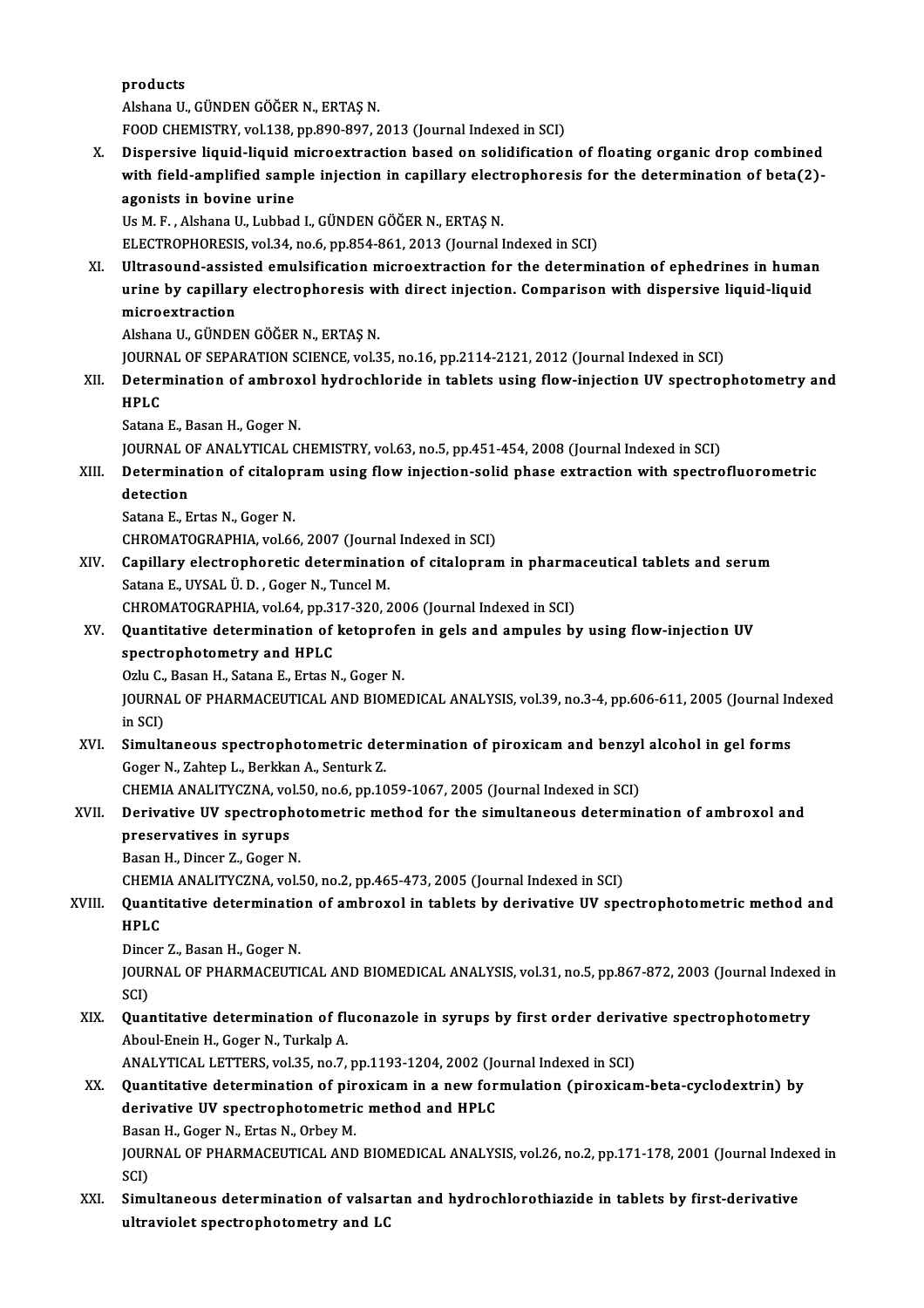products

AlshanaU.,GÜNDENGÖĞERN.,ERTAŞN.

FOOD CHEMISTRY, vol.138, pp.890-897, 2013 (Journal Indexed in SCI)

X. Dispersive liquid-liquid microextraction based on solidification of floating organic drop combined FOOD CHEMISTRY, vol.138, pp.890-897, 2013 (Journal Indexed in SCI)<br>Dispersive liquid-liquid microextraction based on solidification of floating organic drop combined<br>with field-amplified sample injection in capillary elect Dispersive liquid-liquid r<br>with field-amplified samp<br>agonists in bovine urine<br><sup>He M E</sup> Alshana H Lubbad agonists in bovine urine<br>Us M. F. , Alshana U., Lubbad I., GÜNDEN GÖĞER N., ERTAŞ N.

ELECTROPHORESIS, vol.34, no.6, pp.854-861, 2013 (Journal Indexed in SCI)

XI. Ultrasound-assisted emulsification microextraction for the determination of ephedrines in human ELECTROPHORESIS, vol.34, no.6, pp.854-861, 2013 (Journal Indexed in SCI)<br>Ultrasound-assisted emulsification microextraction for the determination of ephedrines in humar<br>urine by capillary electrophoresis with direct inject Ultrasound-assis<br>urine by capillar<br>microextraction<br>Alsbana U. CÜNDE urine by capillary electrophoresis w<br>microextraction<br>Alshana U., GÜNDEN GÖĞER N., ERTAŞ N.<br>JOUPMAL OF SERARATION SCIENCE vol 3 microextraction<br>Alshana U., GÜNDEN GÖĞER N., ERTAŞ N.<br>JOURNAL OF SEPARATION SCIENCE, vol.35, no.16, pp.2114-2121, 2012 (Journal Indexed in SCI)

Alshana U., GÜNDEN GÖĞER N., ERTAŞ N.<br>JOURNAL OF SEPARATION SCIENCE, vol.35, no.16, pp.2114-2121, 2012 (Journal Indexed in SCI)<br>XII. Determination of ambroxol hydrochloride in tablets using flow-injection UV spectropho JOURN<br>Deteri<br>HPLC<br>Satana **Determination of ambrox<br>HPLC<br>Satana E., Basan H., Goger N.**<br>JOUPNAL OF ANALYTICAL C HPLC<br>Satana E., Basan H., Goger N.<br>JOURNAL OF ANALYTICAL CHEMISTRY, vol.63, no.5, pp.451-454, 2008 (Journal Indexed in SCI)

Satana E., Basan H., Goger N.<br>JOURNAL OF ANALYTICAL CHEMISTRY, vol.63, no.5, pp.451-454, 2008 (Journal Indexed in SCI)<br>XIII. Determination of citalopram using flow injection-solid phase extraction with spectrofluoromet JOURNAL C<br>Determina<br>detection<br>Satana E - E detection<br>Satana E., Ertas N., Goger N.

CHROMATOGRAPHIA, vol.66, 2007 (Journal Indexed in SCI)

XIV. Capillary electrophoretic determination of citalopram in pharmaceutical tablets and serum Satana E., UYSAL Ü. D., Goger N., Tuncel M. Capillary electrophoretic determination of citalopram in pharma<br>Satana E., UYSAL Ü. D. , Goger N., Tuncel M.<br>CHROMATOGRAPHIA, vol.64, pp.317-320, 2006 (Journal Indexed in SCI)<br>Quantitative determination of ketenrefen in ge

Satana E., UYSAL Ü. D. , Goger N., Tuncel M.<br>CHROMATOGRAPHIA, vol.64, pp.317-320, 2006 (Journal Indexed in SCI)<br>XV. Quantitative determination of ketoprofen in gels and ampules by using flow-injection UV<br>SPASTOR between an CHROMATOGRAPHIA, vol.64, pp.3<br>Quantitative determination of<br>spectrophotometry and HPLC **Quantitative determination of ketoprofe<br>spectrophotometry and HPLC<br>Ozlu C., Basan H., Satana E., Ertas N., Goger N.<br>JOUPMAL OF PHAPMACEUTICAL AND PIOME** 

Ozlu C., Basan H., Satana E., Ertas N., Goger N.

spectrophotometry and HPLC<br>Ozlu C., Basan H., Satana E., Ertas N., Goger N.<br>JOURNAL OF PHARMACEUTICAL AND BIOMEDICAL ANALYSIS, vol.39, no.3-4, pp.606-611, 2005 (Journal Indexed<br>in SCI) JOURNAL OF PHARMACEUTICAL AND BIOMEDICAL ANALYSIS, vol.39, no.3-4, pp.606-611, 2005 (Journal In<br>in SCI)<br>XVI. Simultaneous spectrophotometric determination of piroxicam and benzyl alcohol in gel forms<br>Cases N. Zabtan L. Ber

in SCI)<br>Simultaneous spectrophotometric det<br>Goger N., Zahtep L., Berkkan A., Senturk Z.<br>CHEMIA ANALITYCZNA, vol 50, no 6, nn 10 Simultaneous spectrophotometric determination of piroxicam and benzyl<br>Goger N., Zahtep L., Berkkan A., Senturk Z.<br>CHEMIA ANALITYCZNA, vol.50, no.6, pp.1059-1067, 2005 (Journal Indexed in SCI)<br>Denivative IIV spectrophotomet

## Goger N., Zahtep L., Berkkan A., Senturk Z.<br>CHEMIA ANALITYCZNA, vol.50, no.6, pp.1059-1067, 2005 (Journal Indexed in SCI)<br>XVII. Derivative UV spectrophotometric method for the simultaneous determination of ambroxol and CHEMIA ANALITYCZNA, vo<br>Derivative UV spectroph<br>preservatives in syrups<br>Peser H. Dinser 7, Coger N Derivative UV spectropho<br>preservatives in syrups<br>Basan H., Dincer Z., Goger N.<br>CHEMIA ANALITYCZNA vol. preservatives in syrups<br>Basan H., Dincer Z., Goger N.<br>CHEMIA ANALITYCZNA, vol.50, no.2, pp.465-473, 2005 (Journal Indexed in SCI)<br>Quantitative determination of ambrousl in tablets by derivative IIV ans

## Basan H., Dincer Z., Goger N.<br>CHEMIA ANALITYCZNA, vol.50, no.2, pp.465-473, 2005 (Journal Indexed in SCI)<br>XVIII. Quantitative determination of ambroxol in tablets by derivative UV spectrophotometric method and<br>HPLC CHEMI<br>Quant<br>HPLC<br>Dincer **Quantitative determinatio<br>HPLC<br>Dincer Z., Basan H., Goger N.<br>JOUPNAL OF PHAPMACEUTI**

Dincer Z., Basan H., Goger N.

HPLC<br>Dincer Z., Basan H., Goger N.<br>JOURNAL OF PHARMACEUTICAL AND BIOMEDICAL ANALYSIS, vol.31, no.5, pp.867-872, 2003 (Journal Indexed in<br>SCI) JOURNAL OF PHARMACEUTICAL AND BIOMEDICAL ANALYSIS, vol.31, no.5, pp.867-872, 2003 (Journal Indexention)<br>SCI)<br>XIX. Quantitative determination of fluconazole in syrups by first order derivative spectrophotometry<br>Aboul Engin

## SCI)<br>**Quantitative determination of fl**i<br>Aboul-Enein H., Goger N., Turkalp A.<br>ANALYTICAL LETTERS, vol.25, no.7. Quantitative determination of fluconazole in syrups by first order deriva<br>Aboul-Enein H., Goger N., Turkalp A.<br>ANALYTICAL LETTERS, vol.35, no.7, pp.1193-1204, 2002 (Journal Indexed in SCI)<br>Quantitative determination of pin

## Aboul-Enein H., Goger N., Turkalp A.<br>ANALYTICAL LETTERS, vol.35, no.7, pp.1193-1204, 2002 (Journal Indexed in SCI)<br>XX. Quantitative determination of piroxicam in a new formulation (piroxicam-beta-cyclodextrin) by<br>denivativ ANALYTICAL LETTERS, vol.35, no.7, pp.1193-1204, 2002 (Journal Indexed in SCI)<br>Quantitative determination of piroxicam in a new formulation (piroxican<br>derivative UV spectrophotometric method and HPLC<br>Basan H., Goger N., Ert **Quantitative determination of pir<br>derivative UV spectrophotometri<br>Basan H., Goger N., Ertas N., Orbey M.<br>JOUPNAL OF PHAPMACEUTICAL AND** derivative UV spectrophotometric method and HPLC<br>Basan H., Goger N., Ertas N., Orbey M.<br>JOURNAL OF PHARMACEUTICAL AND BIOMEDICAL ANALYSIS, vol.26, no.2, pp.171-178, 2001 (Journal Indexed in<br>SCD Basa<br>JOUR<br>SCI)<br>Sim

JOURNAL OF PHARMACEUTICAL AND BIOMEDICAL ANALYSIS, vol.26, no.2, pp.171-178, 2001 (Journal Index SCI)<br>SCI)<br>XXI. Simultaneous determination of valsartan and hydrochlorothiazide in tablets by first-derivative<br>whravialst anas SCI)<br>Simultaneous determination of valsartan and hydrochlorothiazide in tablets by first-derivative<br>ultraviolet spectrophotometry and LC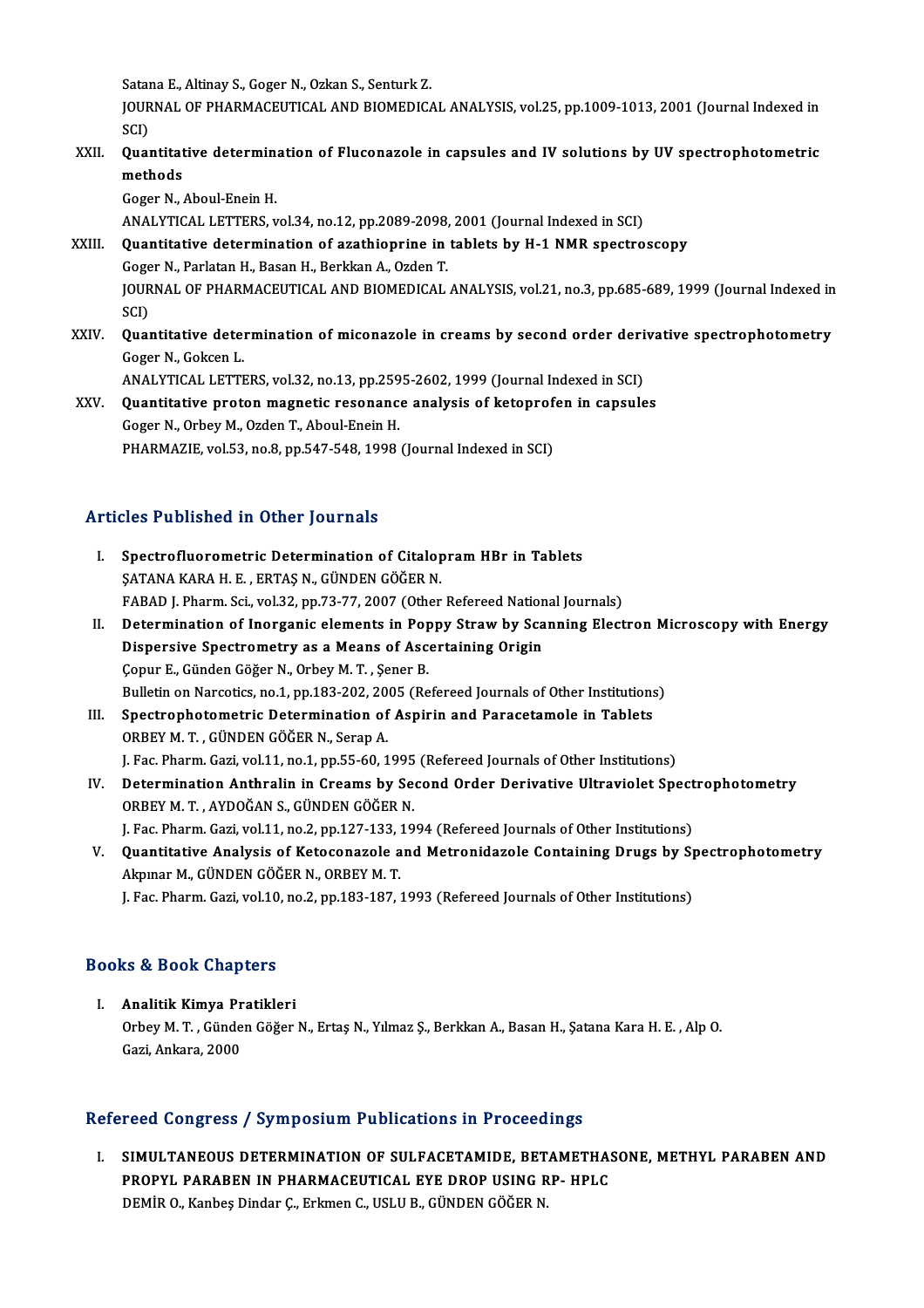Satana E., Altinay S., Goger N., Ozkan S., Senturk Z.

Satana E., Altinay S., Goger N., Ozkan S., Senturk Z.<br>JOURNAL OF PHARMACEUTICAL AND BIOMEDICAL ANALYSIS, vol.25, pp.1009-1013, 2001 (Journal Indexed in Satai<br>JOUR<br>SCI)<br>Ouer JOURNAL OF PHARMACEUTICAL AND BIOMEDICAL ANALYSIS, vol.25, pp.1009-1013, 2001 (Journal Indexed in<br>SCI)<br>XXII. Quantitative determination of Fluconazole in capsules and IV solutions by UV spectrophotometric<br>mathods

## SCI)<br>XXII. Quantitative determination of Fluconazole in capsules and IV solutions by UV spectrophotometric<br>methods methods<br>Goger N., Aboul-Enein H.<br>ANALYTICAL LETTERS, vol.34, no.12, pp.2089-2098, 2001 (Journal Indexed in SCI)<br>Quantitative determination of agathionsine in tablets by H.1 NMP spectre

Goger N., Aboul-Enein H.

XXIII. Quantitative determination of azathioprine in tablets by H-1 NMR spectroscopy<br>Goger N., Parlatan H., Basan H., Berkkan A., Ozden T. ANALYTICAL LETTERS, vol.34, no.12, pp.2089-2098,<br>Quantitative determination of azathioprine in<br>Goger N., Parlatan H., Basan H., Berkkan A., Ozden T.<br>JOUPNAL OF PHARMACEUTICAL AND PJOMEDICAL Quantitative determination of azathioprine in tablets by H-1 NMR spectroscopy<br>Goger N., Parlatan H., Basan H., Berkkan A., Ozden T.<br>JOURNAL OF PHARMACEUTICAL AND BIOMEDICAL ANALYSIS, vol.21, no.3, pp.685-689, 1999 (Journal Goge<br>JOUR<br>SCI)<br>Ouar JOURNAL OF PHARMACEUTICAL AND BIOMEDICAL ANALYSIS, vol.21, no.3, pp.685-689, 1999 (Journal Indexed in<br>SCI)<br>XXIV. Quantitative determination of miconazole in creams by second order derivative spectrophotometry<br>Coger N. Cols

SCI)<br>**Quantitative dete**n<br>Goger N., Gokcen L.<br>ANALYTICAL LETTE Quantitative determination of miconazole in creams by second order deri<br>Goger N., Gokcen L.<br>ANALYTICAL LETTERS, vol.32, no.13, pp.2595-2602, 1999 (Journal Indexed in SCI)<br>Quantitative proten magnetic resenance analysis of

Goger N., Gokcen L.<br>ANALYTICAL LETTERS, vol.32, no.13, pp.2595-2602, 1999 (Journal Indexed in SCI)<br>XXV. Quantitative proton magnetic resonance analysis of ketoprofen in capsules<br>Coger N. Orbey M. Order T. Aboul Engin H ANALYTICAL LETTERS, vol.32, no.13, pp.259<br>Quantitative proton magnetic resonance<br>Goger N., Orbey M., Ozden T., Aboul-Enein H. XXV. Quantitative proton magnetic resonance analysis of ketoprofen in capsules<br>Goger N., Orbey M., Ozden T., Aboul-Enein H.<br>PHARMAZIE, vol.53, no.8, pp.547-548, 1998 (Journal Indexed in SCI)

# PHARMAZIE, VOL53, no.8, pp.547-548, 19<br>Articles Published in Other Journals

| Articles Published in Other Journals |                                                                                                |  |
|--------------------------------------|------------------------------------------------------------------------------------------------|--|
| L.                                   | Spectrofluorometric Determination of Citalopram HBr in Tablets                                 |  |
|                                      | ŞATANA KARA H. E., ERTAŞ N., GÜNDEN GÖĞER N.                                                   |  |
|                                      | FABAD J. Pharm. Sci., vol.32, pp.73-77, 2007 (Other Refereed National Journals)                |  |
| Н.                                   | Determination of Inorganic elements in Poppy Straw by Scanning Electron Microscopy with Energy |  |
|                                      | Dispersive Spectrometry as a Means of Ascertaining Origin                                      |  |
|                                      | Copur E., Günden Göğer N., Orbey M.T., Şener B.                                                |  |
|                                      | Bulletin on Narcotics, no.1, pp.183-202, 2005 (Refereed Journals of Other Institutions)        |  |
| Ш.                                   | Spectrophotometric Determination of Aspirin and Paracetamole in Tablets                        |  |
|                                      | ORBEY M. T., GÜNDEN GÖĞER N., Serap A.                                                         |  |
|                                      | J. Fac. Pharm. Gazi, vol.11, no.1, pp.55-60, 1995 (Refereed Journals of Other Institutions)    |  |
| IV.                                  | Determination Anthralin in Creams by Second Order Derivative Ultraviolet Spectrophotometry     |  |
|                                      | ORBEY M. T., AYDOĞAN S., GÜNDEN GÖĞER N.                                                       |  |
|                                      | J. Fac. Pharm. Gazi, vol.11, no.2, pp.127-133, 1994 (Refereed Journals of Other Institutions)  |  |
| V.                                   | Quantitative Analysis of Ketoconazole and Metronidazole Containing Drugs by Spectrophotometry  |  |
|                                      | Alminor M. CÜNDEN CÖČED N. ODDEV M. T                                                          |  |

Akpınar M., GÜNDEN GÖĞER N., ORBEY M. T.<br>J. Fac. Pharm. Gazi, vol.10, no.2, pp.183-187, 1993 (Refereed Journals of Other Institutions) Quantitative Analysis of Ketoconazole and Metronidazole Containing Drugs by S<sub>l</sub><br>Akpmar M., GÜNDEN GÖĞER N., ORBEY M. T.<br>J. Fac. Pharm. Gazi, vol.10, no.2, pp.183-187, 1993 (Refereed Journals of Other Institutions)

# 1. rac. rnarm. Gazi, vol.10<br>Books & Book Chapters

ooks & Book Chapters<br>I. Analitik Kimya Pratikleri<br>Orboy M.T. Günden Göğer to & Boon emapters<br>Analitik Kimya Pratikleri<br>Orbey M. T. , Günden Göğer N., Ertaş N., Yılmaz Ş., Berkkan A., Basan H., Şatana Kara H. E. , Alp O. <mark>Analitik Kimya Pr</mark><br>Orbey M. T. , Günde<br>Gazi, Ankara, 2000

# Gazi, Ankara, 2000<br>Refereed Congress / Symposium Publications in Proceedings

Efereed Congress / Symposium Publications in Proceedings<br>I. SIMULTANEOUS DETERMINATION OF SULFACETAMIDE, BETAMETHASONE, METHYL PARABEN AND<br>REORYL RARABEN IN RHARMACEUTICAL EVE DROB USING RR. HRLC PECA COMBLESS / BJ MIPOSIAM T ASHEARISHS IN TTOCCCAMBS<br>SIMULTANEOUS DETERMINATION OF SULFACETAMIDE, BETAMETHA:<br>PROPYL PARABEN IN PHARMACEUTICAL EYE DROP USING RP- HPLC<br>DEMIP O. Karbes Dindar G. Erlman G. USI U.B. CÜNDEN CÖ PROPYL PARABEN IN PHARMACEUTICAL EYE DROP USING RP- HPLC<br>DEMİR O., Kanbeş Dindar Ç., Erkmen C., USLU B., GÜNDEN GÖĞER N.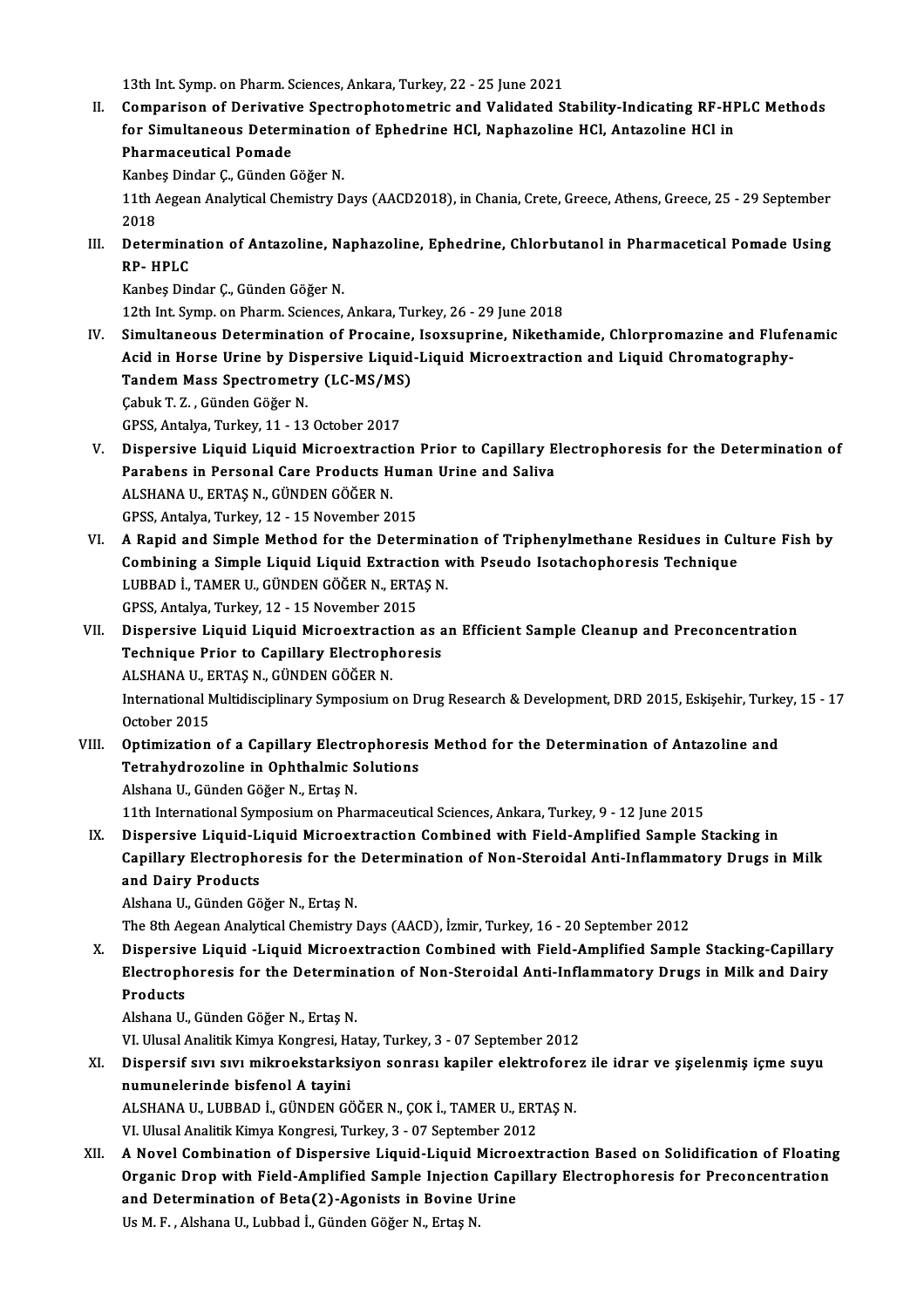13th Int. Symp. on Pharm. Sciences, Ankara, Turkey, 22 - 25 June 2021

13th Int. Symp. on Pharm. Sciences, Ankara, Turkey, 22 - 25 June 2021<br>II. Comparison of Derivative Spectrophotometric and Validated Stability-Indicating RF-HPLC Methods<br>for Simultaneous Determination of Enhedrine HCL Nonbe 13th Int. Symp. on Pharm. Sciences, Ankara, Turkey, 22 - 25 June 2021<br>Comparison of Derivative Spectrophotometric and Validated Stability-Indicating RF-HF<br>for Simultaneous Determination of Ephedrine HCl, Naphazoline HCl, A Comparison of Derivativ<br>for Simultaneous Detern<br>Pharmaceutical Pomade<br>Kanbes Dinder C. Cünder C for Simultaneous Determination<br>Pharmaceutical Pomade<br>Kanbeş Dindar Ç., Günden Göğer N.<br>11th Aggean Anakutical Chamistry D

Pharmaceutical Pomade<br>Kanbeş Dindar Ç., Günden Göğer N.<br>11th Aegean Analytical Chemistry Days (AACD2018), in Chania, Crete, Greece, Athens, Greece, 25 - 29 September<br>2018 Kanbe<br>11th A<br>2018<br>Deter 11th Aegean Analytical Chemistry Days (AACD2018), in Chania, Crete, Greece, Athens, Greece, 25 - 29 September<br>2018<br>III. Determination of Antazoline, Naphazoline, Ephedrine, Chlorbutanol in Pharmacetical Pomade Using<br>PRIMPL

2018<br>Determina<br>RP- HPLC<br>Kanbes Din RP- HPLC<br>Kanbeş Dindar Ç., Günden Göğer N.

12th Int. Symp. on Pharm. Sciences, Ankara, Turkey, 26 - 29 June 2018

- IV. Simultaneous Determination of Procaine, Isoxsuprine, Nikethamide, Chlorpromazine and Flufenamic Acid in Horse Urine by Dispersive Liquid-Liquid Microextraction and Liquid Chromatography-Simultaneous Determination of Procaine,<br>Acid in Horse Urine by Dispersive Liquid<br>Tandem Mass Spectrometry (LC-MS/MS)<br>Cebuk T 7 - Günden Cöğer N Acid in Horse Urine by Dis<br>Tandem Mass Spectrometr<br>Çabuk T. Z. , Günden Göğer N.<br>CPSS Antalya Turkay 11, 12 Tandem Mass Spectrometry (LC-MS/MS<br>Çabuk T. Z. , Günden Göğer N.<br>GPSS, Antalya, Turkey, 11 - 13 October 2017<br>Dianoraive Liquid Liquid Mianoovtrastic Cabuk T. Z. , Günden Göğer N.<br>GPSS, Antalya, Turkey, 11 - 13 October 2017<br>V. Dispersive Liquid Liquid Microextraction Prior to Capillary Electrophoresis for the Determination of<br>Pershaps in Personal Care Products Human Hri
- GPSS, Antalya, Turkey, 11 13 October 2017<br>Dispersive Liquid Liquid Microextraction Prior to Capillary E<br>Parabens in Personal Care Products Human Urine and Saliva<br>ALSHANA U, EPTAS N, CÜNDEN CÖĞER N Dispersive Liquid Liquid Microextract<br>Parabens in Personal Care Products H<br>ALSHANA U., ERTAŞ N., GÜNDEN GÖĞER N.<br>CPSS Antelve Turkey 12, 15 Nevember 24 Parabens in Personal Care Products Human Urine and Saliva<br>ALSHANA U., ERTAŞ N., GÜNDEN GÖĞER N.<br>GPSS, Antalya, Turkey, 12 - 15 November 2015 ALSHANA U., ERTAȘ N., GÜNDEN GÖĞER N.<br>GPSS, Antalya, Turkey, 12 - 15 November 2015<br>VI. — A Rapid and Simple Method for the Determination of Triphenylmethane Residues in Culture Fish by<br>Combining a Simple Liquid Liquid Extr
- GPSS, Antalya, Turkey, 12 15 November 2015<br>A Rapid and Simple Method for the Determination of Triphenylmethane Residues in Cu<br>Combining a Simple Liquid Liquid Extraction with Pseudo Isotachophoresis Technique<br>LURRAD L. T A Rapid and Simple Method for the Determina<br>Combining a Simple Liquid Liquid Extraction v<br>LUBBAD İ., TAMER U., GÜNDEN GÖĞER N., ERTAŞ N.<br>CPSS Antalya Turkay 12, 15 Navambar 2015 Combining a Simple Liquid Liquid Extracti<br>LUBBAD İ., TAMER U., GÜNDEN GÖĞER N., ERTA<br>GPSS, Antalya, Turkey, 12 - 15 November 2015<br>Dispersive Liquid Liquid Misroextrastion LUBBAD İ., TAMER U., GÜNDEN GÖĞER N., ERTAŞ N.<br>GPSS, Antalya, Turkey, 12 - 15 November 2015<br>VII. Dispersive Liquid Liquid Microextraction as an Efficient Sample Cleanup and Preconcentration<br> Technique Prier to Conil
- GPSS, Antalya, Turkey, 12 15 November 2015<br>Dispersive Liquid Liquid Microextraction as a<br>Technique Prior to Capillary Electrophoresis<br>ALSHANA UL EPTAS N. CÜNDEN CÖĞEP N Dispersive Liquid Liquid Microextract<br>Technique Prior to Capillary Electroph<br>ALSHANA U., ERTAŞ N., GÜNDEN GÖĞER N.<br>International Multidissinlinery Symnosium Technique Prior to Capillary Electrophoresis<br>ALSHANA U., ERTAŞ N., GÜNDEN GÖĞER N.<br>International Multidisciplinary Symposium on Drug Research & Development, DRD 2015, Eskişehir, Turkey, 15 - 17<br>October 2015 ALSHANA U., ERTAS N., GÜNDEN GÖĞER N.
- VIII. Optimization of a Capillary Electrophoresis Method for the Determination of Antazoline and October 2015<br>Optimization of a Capillary Electrophoresi<br>Tetrahydrozoline in Ophthalmic Solutions<br>Alshana U. Cünden Cöğer N. Extas N. Optimization of a Capillary Electr<br>Tetrahydrozoline in Ophthalmic S<br>Alshana U., Günden Göğer N., Ertaş N.<br>11th International Sumnesium en Pha Alshana U., Günden Göğer N., Ertaş N.<br>11th International Symposium on Pharmaceutical Sciences, Ankara, Turkey, 9 - 12 June 2015 Alshana U., Günden Göğer N., Ertaş N.<br>11th International Symposium on Pharmaceutical Sciences, Ankara, Turkey, 9 - 12 June 2015<br>IX. Dispersive Liquid-Liquid Microextraction Combined with Field-Amplified Sample Stacking
	- 11th International Symposium on Pharmaceutical Sciences, Ankara, Turkey, 9 12 June 2015<br>Dispersive Liquid-Liquid Microextraction Combined with Field-Amplified Sample Stacking in<br>Capillary Electrophoresis for the Determin Dispersive Liquid-L<br>Capillary Electrophe<br>and Dairy Products<br>Alabana U. Cünden Cõ Capillary Electrophoresis for the<br>and Dairy Products<br>Alshana U., Günden Göğer N., Ertaş N.<br>The 9th Aegeen Analytical Chemistry I and Dairy Products<br>Alshana U., Günden Göğer N., Ertaş N.<br>The 8th Aegean Analytical Chemistry Days (AACD), İzmir, Turkey, 16 - 20 September 2012

Alshana U., Günden Göğer N., Ertaş N.<br>The 8th Aegean Analytical Chemistry Days (AACD), İzmir, Turkey, 16 - 20 September 2012<br>X. Dispersive Liquid -Liquid Microextraction Combined with Field-Amplified Sample Stacking-Capill The 8th Aegean Analytical Chemistry Days (AACD), İzmir, Turkey, 16 - 20 September 2012<br>Dispersive Liquid -Liquid Microextraction Combined with Field-Amplified Sample Stacking-Capillary<br>Electrophoresis for the Determination Dispersiv<br>Electroph<br>Products<br>Alshans U Electrophoresis for the Determination of Non-Steroidal Anti-Inflammatory Drugs in Milk and Dairy<br>Products<br>Alshana U., Günden Göğer N., Ertaş N. <mark>Products</mark><br>Alshana U., Günden Göğer N., Ertaş N.<br>VI. Ulusal Analitik Kimya Kongresi, Hatay, Turkey, 3 - 07 September 2012<br>Dispersif suu, suu, mikrookstarksiyon sonrası, kapiler olektroforası

XI. Dispersif sıvı sıvı mikroekstarksiyon sonrası kapiler elektroforez ile idrar ve şişelenmiş içme suyu<br>numunelerinde bisfenol A tavini VI. Ulusal Analitik Kimya Kongresi, Ha<br>Dispersif sıvı sıvı mikroekstarksi<br>numunelerinde bisfenol A tayini<br>ALSHANA IL LUPPAD İ. GÜNDEN GÖ Dispersif sıvı sıvı mikroekstarksiyon sonrası kapiler elektrofore<br>numunelerinde bisfenol A tayini<br>ALSHANA U., LUBBAD İ., GÜNDEN GÖĞER N., ÇOK İ., TAMER U., ERTAŞ N.<br>VI Hlusal Analitik Kimua Kongresi Turkov 3 - 07 Santambar numunelerinde bisfenol A tayini<br>ALSHANA U., LUBBAD İ., GÜNDEN GÖĞER N., ÇOK İ., TAMER U., ERT<br>VI. Ulusal Analitik Kimya Kongresi, Turkey, 3 - 07 September 2012<br>A Novel Cembination of Disporsive Liquid Liquid Mispoerti

ALSHANA U., LUBBAD İ., GÜNDEN GÖĞER N., ÇOK İ., TAMER U., ERTAŞ N.<br>1997: VI. Ulusal Analitik Kimya Kongresi, Turkey, 3 - 07 September 2012<br>2016: A Novel Combination of Dispersive Liquid-Liquid Microextraction Based on Soli VI. Ulusal Analitik Kimya Kongresi, Turkey, 3 - 07 September 2012<br>A Novel Combination of Dispersive Liquid-Liquid Microextraction Based on Solidification of Floating<br>Organic Drop with Field-Amplified Sample Injection Capil A Novel Combination of Dispersive Liquid-Liquid Micro<br>Organic Drop with Field-Amplified Sample Injection Cap<br>and Determination of Beta(2)-Agonists in Bovine Urine<br><sup>He M E</sup> Alshans II, Lubbed <sup>i</sup>, Günden Cöğan N, Ertes N Organic Drop with Field-Amplified Sample Injection Capillary Electrophoresis for Preconcentration<br>and Determination of Beta(2)-Agonists in Bovine Urine<br>Us M. F., Alshana U., Lubbad İ., Günden Göğer N., Ertaş N.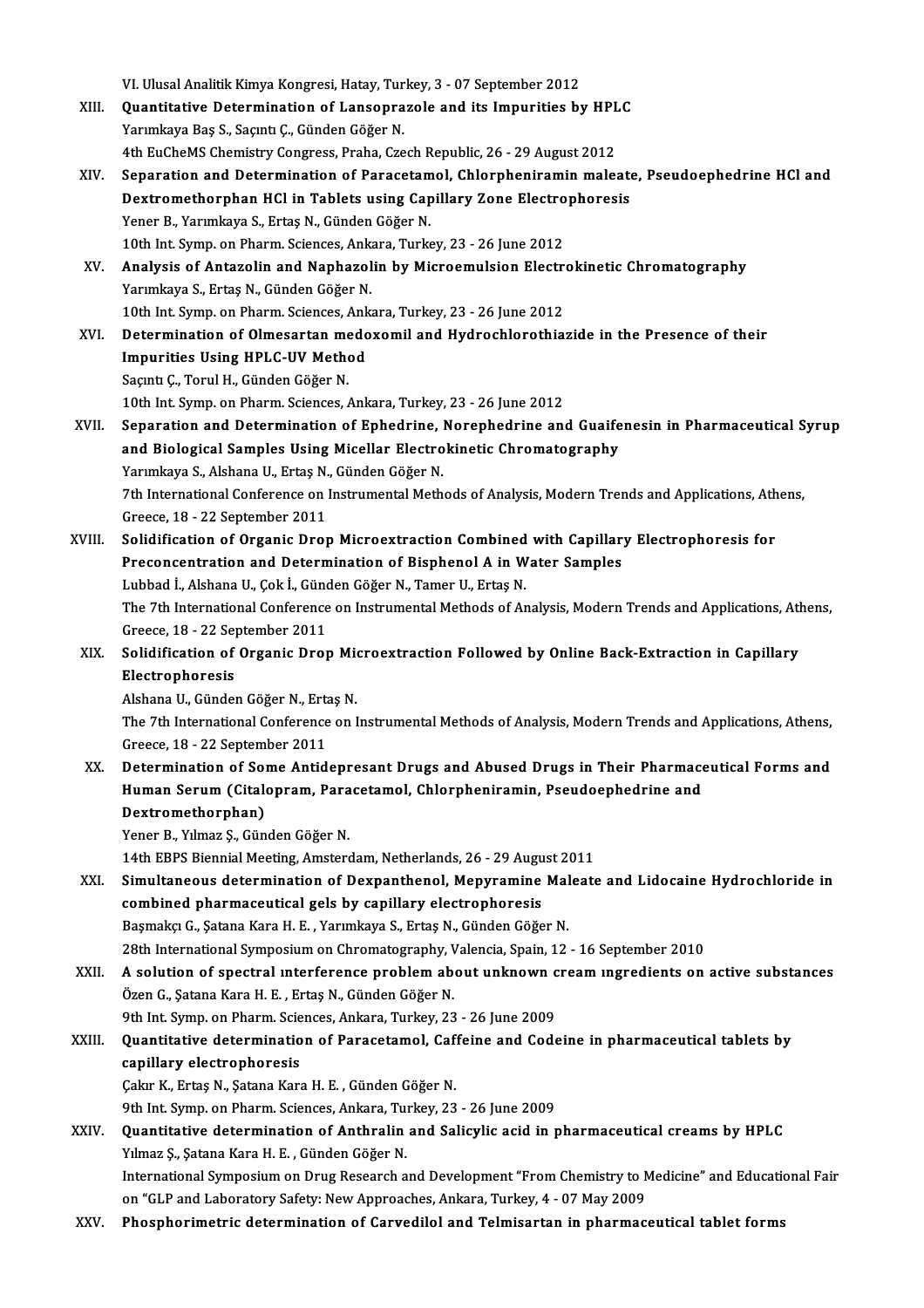|        | VI. Ulusal Analitik Kimya Kongresi, Hatay, Turkey, 3 - 07 September 2012                                          |
|--------|-------------------------------------------------------------------------------------------------------------------|
| XIII.  | Quantitative Determination of Lansoprazole and its Impurities by HPLC                                             |
|        | Yarımkaya Baş S., Saçıntı Ç., Günden Göğer N.                                                                     |
|        | 4th EuCheMS Chemistry Congress, Praha, Czech Republic, 26 - 29 August 2012                                        |
| XIV.   | Separation and Determination of Paracetamol, Chlorpheniramin maleate, Pseudoephedrine HCl and                     |
|        | Dextromethorphan HCl in Tablets using Capillary Zone Electrophoresis                                              |
|        | Yener B., Yarımkaya S., Ertaş N., Günden Göğer N.                                                                 |
|        | 10th Int. Symp. on Pharm. Sciences, Ankara, Turkey, 23 - 26 June 2012                                             |
| XV.    | Analysis of Antazolin and Naphazolin by Microemulsion Electrokinetic Chromatography                               |
|        | Yarımkaya S., Ertaş N., Günden Göğer N.                                                                           |
|        | 10th Int. Symp. on Pharm. Sciences, Ankara, Turkey, 23 - 26 June 2012                                             |
| XVI.   | Determination of Olmesartan medoxomil and Hydrochlorothiazide in the Presence of their                            |
|        | <b>Impurities Using HPLC-UV Method</b>                                                                            |
|        | Saçıntı Ç., Torul H., Günden Göğer N.                                                                             |
|        | 10th Int. Symp. on Pharm. Sciences, Ankara, Turkey, 23 - 26 June 2012                                             |
| XVII.  | Separation and Determination of Ephedrine, Norephedrine and Guaifenesin in Pharmaceutical Syrup                   |
|        | and Biological Samples Using Micellar Electrokinetic Chromatography                                               |
|        | Yarımkaya S., Alshana U., Ertaş N., Günden Göğer N.                                                               |
|        | 7th International Conference on Instrumental Methods of Analysis, Modern Trends and Applications, Athens,         |
|        | Greece, 18 - 22 September 2011                                                                                    |
| XVIII. | Solidification of Organic Drop Microextraction Combined with Capillary Electrophoresis for                        |
|        | Preconcentration and Determination of Bisphenol A in Water Samples                                                |
|        | Lubbad İ., Alshana U., Çok İ., Günden Göğer N., Tamer U., Ertaş N.                                                |
|        | The 7th International Conference on Instrumental Methods of Analysis, Modern Trends and Applications, Athens,     |
|        | Greece, 18 - 22 September 2011                                                                                    |
| XIX.   | Solidification of Organic Drop Microextraction Followed by Online Back-Extraction in Capillary<br>Electrophoresis |
|        | Alshana U., Günden Göğer N., Ertaş N.                                                                             |
|        | The 7th International Conference on Instrumental Methods of Analysis, Modern Trends and Applications, Athens,     |
|        | Greece, 18 - 22 September 2011                                                                                    |
| XX.    | Determination of Some Antidepresant Drugs and Abused Drugs in Their Pharmaceutical Forms and                      |
|        | Human Serum (Citalopram, Paracetamol, Chlorpheniramin, Pseudoephedrine and                                        |
|        | Dextromethorphan)                                                                                                 |
|        | Yener B., Yılmaz Ş., Günden Göğer N.                                                                              |
|        | 14th EBPS Biennial Meeting, Amsterdam, Netherlands, 26 - 29 August 2011                                           |
| XXI.   | Simultaneous determination of Dexpanthenol, Mepyramine Maleate and Lidocaine Hydrochloride in                     |
|        | combined pharmaceutical gels by capillary electrophoresis                                                         |
|        | Başmakçı G., Şatana Kara H. E., Yarımkaya S., Ertaş N., Günden Göğer N.                                           |
|        | 28th International Symposium on Chromatography, Valencia, Spain, 12 - 16 September 2010                           |
| XXII.  | A solution of spectral interference problem about unknown cream ingredients on active substances                  |
|        | Özen G., Şatana Kara H. E., Ertaş N., Günden Göğer N.                                                             |
|        | 9th Int. Symp. on Pharm. Sciences, Ankara, Turkey, 23 - 26 June 2009                                              |
| XXIII. | Quantitative determination of Paracetamol, Caffeine and Codeine in pharmaceutical tablets by                      |
|        | capillary electrophoresis                                                                                         |
|        | Çakır K., Ertaş N., Şatana Kara H. E., Günden Göğer N.                                                            |
|        | 9th Int. Symp. on Pharm. Sciences, Ankara, Turkey, 23 - 26 June 2009                                              |
| XXIV.  | Quantitative determination of Anthralin and Salicylic acid in pharmaceutical creams by HPLC                       |
|        | Yılmaz Ş., Şatana Kara H. E., Günden Göğer N.                                                                     |
|        | International Symposium on Drug Research and Development "From Chemistry to Medicine" and Educational Fair        |
|        | on "GLP and Laboratory Safety: New Approaches, Ankara, Turkey, 4 - 07 May 2009                                    |
| XXV.   | Phosphorimetric determination of Carvedilol and Telmisartan in pharmaceutical tablet forms                        |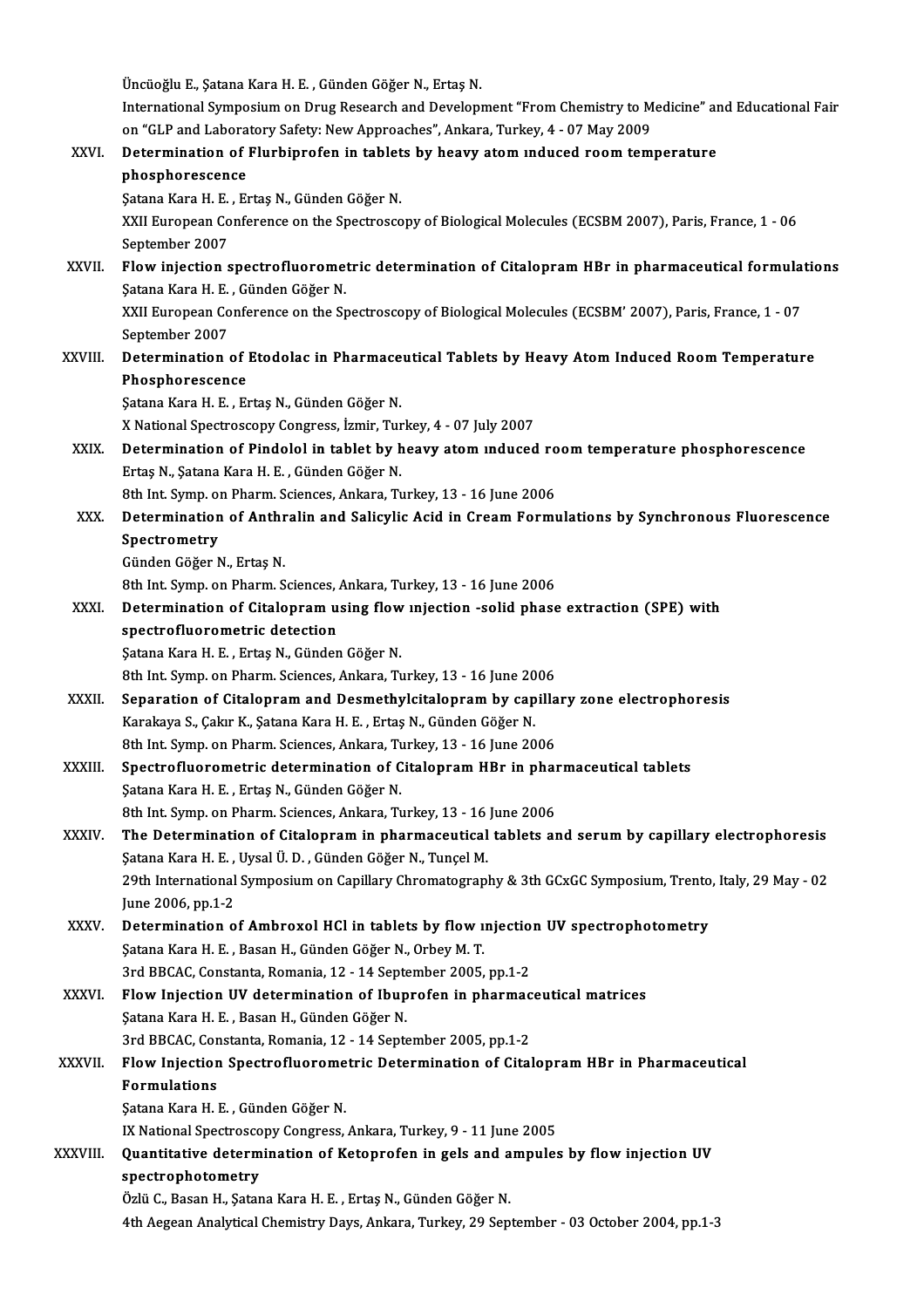Üncüoğlu E., Şatana Kara H. E., Günden Göğer N., Ertaş N. International Symposium on Drug Research and Development "From Chemistry to Medicine" and Educational Fair Üncüoğlu E., Şatana Kara H. E. , Günden Göğer N., Ertaş N.<br>International Symposium on Drug Research and Development "From Chemistry to M<br>on "GLP and Laboratory Safety: New Approaches", Ankara, Turkey, 4 - 07 May 2009<br>Deter International Symposium on Drug Research and Development "From Chemistry to Medicine" at<br>on "GLP and Laboratory Safety: New Approaches", Ankara, Turkey, 4 - 07 May 2009<br>XXVI. Determination of Flurbiprofen in tablets by hea on "GLP and Labora<br>Determination of<br>phosphorescence<br>Satana Kara H E - Ex Determination of Flurbiprofen in tablet<br>phosphorescence<br>Şatana Kara H. E. , Ertaş N., Günden Göğer N.<br>YYU European Conference en the Spectrosce phosphorescence<br>Şatana Kara H. E. , Ertaş N., Günden Göğer N.<br>XXII European Conference on the Spectroscopy of Biological Molecules (ECSBM 2007), Paris, France, 1 - 06<br>Sentember 2007 Satana Kara H. <mark>E.</mark><br>XXII European Co<br>September 2007<br>Elow injection c XXII European Conference on the Spectroscopy of Biological Molecules (ECSBM 2007), Paris, France, 1 - 06<br>September 2007<br>XXVII. Flow injection spectrofluorometric determination of Citalopram HBr in pharmaceutical formulatio September 2007<br>Flow injection spectrofluoromer<br>Şatana Kara H. E. , Günden Göğer N.<br>YYU European Conference en the St Flow injection spectrofluorometric determination of Citalopram HBr in pharmaceutical formula<br>Satana Kara H. E. , Günden Göğer N.<br>XXII European Conference on the Spectroscopy of Biological Molecules (ECSBM' 2007), Paris, Fr Şatana Kara H. E. , Günden Göğer N.<br>XXII European Conference on the Spectroscopy of Biological Molecules (ECSBM' 2007), Paris, France, 1 - 07<br>September 2007 XXII European Conference on the Spectroscopy of Biological Molecules (ECSBM' 2007), Paris, France, 1 - 07<br>September 2007<br>XXVIII. Determination of Etodolac in Pharmaceutical Tablets by Heavy Atom Induced Room Temperature<br>Rh Phosphorescence<br>Satana Kara H. E., Ertaş N., Günden Göğer N. Determination of Etodolac in Pharmace<br>Phosphorescence<br>Şatana Kara H. E. , Ertaş N., Günden Göğer N.<br>Y National Spectrossony Congress, İsmir Tur XNationalSpectroscopyCongress, İzmir,Turkey,4 -07 July2007 Satana Kara H. E. , Ertaş N., Günden Göğer N.<br>X National Spectroscopy Congress, İzmir, Turkey, 4 - 07 July 2007<br>XXIX. Determination of Pindolol in tablet by heavy atom induced room temperature phosphorescence X National Spectroscopy Congress, İzmir, Tur<br>Determination of Pindolol in tablet by h<br>Ertaş N., Şatana Kara H. E. , Günden Göğer N.<br><sup>Oth Int Sumn on Pharm, Scionges, Ankara, Tr</sup> Determination of Pindolol in tablet by heavy atom induced ro<br>Ertaş N., Şatana Kara H. E. , Günden Göğer N.<br>8th Int. Symp. on Pharm. Sciences, Ankara, Turkey, 13 - 16 June 2006<br>Determination of Anthralin and Solisvlia Asid Ertaș N., Șatana Kara H. E. , Günden Göğer N.<br>8th Int. Symp. on Pharm. Sciences, Ankara, Turkey, 13 - 16 June 2006<br>XXX. Determination of Anthralin and Salicylic Acid in Cream Formulations by Synchronous Fluorescence<br>Sp 8th Int. Symp. on Pharm. Sciences, Ankara, Turkey, 13 - 16 June 2006<br>Determination of Anthralin and Salicylic Acid in Cream Form<br>Spectrometry<br>Günden Göğer N., Ertaş N. Determination of Anthr<br>Spectrometry<br>Günden Göğer N., Ertaş N.<br><sup>Oth Int Sumn</sup> on Pharm S 8th Int. Symp. on Pharm. Sciences, Ankara, Turkey, 13 - 16 June 2006 Günden Göğer N., Ertaş N.<br>8th Int. Symp. on Pharm. Sciences, Ankara, Turkey, 13 - 16 June 2006<br>XXXI. Determination of Citalopram using flow injection -solid phase extraction (SPE) with<br>conserve fluoremetric detection 8th Int. Symp. on Pharm. Sciences, J<br>Determination of Citalopram u<br>spectrofluorometric detection<br>Satana Kara H. E., Ertas N. Cünden Determination of Citalopram using flow<br>spectrofluorometric detection<br>Şatana Kara H. E. , Ertaş N., Günden Göğer N.<br><sup>9th Int Sumn on Pharm Sciences Ankara T.</sup> spectrofluorometric detection<br>\$atana Kara H. E. , Ertaş N., Günden Göğer N.<br>8th Int. Symp. on Pharm. Sciences, Ankara, Turkey, 13 - 16 June 2006 XXXII. Separation of Citalopram and Desmethylcitalopram by capillary zone electrophoresis 8th Int. Symp. on Pharm. Sciences, Ankara, Turkey, 13 - 16 June 20<br>Separation of Citalopram and Desmethylcitalopram by cap<br>Karakaya S., Çakır K., Şatana Kara H. E. , Ertaş N., Günden Göğer N.<br><sup>9th Int. Sump. on Pharm. Scie</sup> Separation of Citalopram and Desmethylcitalopram by capilla<br>Karakaya S., Çakır K., Şatana Kara H. E. , Ertaş N., Günden Göğer N.<br>8th Int. Symp. on Pharm. Sciences, Ankara, Turkey, 13 - 16 June 2006<br>Spestrafluoremetris dete Karakaya S., Çakır K., Şatana Kara H. E. , Ertaş N., Günden Göğer N.<br>8th Int. Symp. on Pharm. Sciences, Ankara, Turkey, 13 - 16 June 2006<br>XXXIII. Spectrofluorometric determination of Citalopram HBr in pharmaceutical tablet 8th Int. Symp. on Pharm. Sciences, Ankara, Turkey, 13 - 16 June 2006<br>Spectrofluorometric determination of Citalopram HBr in pha:<br>Şatana Kara H. E. , Ertaş N., Günden Göğer N.<br>8th Int. Symp. on Pharm. Sciences, Ankara, Turk Spectrofluorometric determination of Citalopram HBr in phar<br>Satana Kara H. E. , Ertaş N., Günden Göğer N.<br>8th Int. Symp. on Pharm. Sciences, Ankara, Turkey, 13 - 16 June 2006<br>The Determination of Gitalanzam in pharmaseutis Satana Kara H. E. , Ertaş N., Günden Göğer N.<br>8th Int. Symp. on Pharm. Sciences, Ankara, Turkey, 13 - 16 June 2006<br>XXXIV. The Determination of Citalopram in pharmaceutical tablets and serum by capillary electrophoresis 8th Int. Symp. on Pharm. Sciences, Ankara, Turkey, 13 - 16<br>The Determination of Citalopram in pharmaceutical<br>Şatana Kara H. E. , Uysal Ü. D. , Günden Göğer N., Tunçel M.<br>20th International Sympesium en Canillary Chromategr The Determination of Citalopram in pharmaceutical tablets and serum by capillary electrophoresis<br>Şatana Kara H. E. , Uysal Ü. D. , Günden Göğer N., Tunçel M.<br>29th International Symposium on Capillary Chromatography & 3th G Satana Kara H. E. ,<br>29th International<br>June 2006, pp.1-2<br>Determination e 29th International Symposium on Capillary Chromatography & 3th GCxGC Symposium, Trento<br>June 2006, pp.1-2<br>XXXV. Determination of Ambroxol HCl in tablets by flow injection UV spectrophotometry<br>Satana Kara H.E. Basan H. Cünda June 2006, pp.1-2<br>Determination of Ambroxol HCl in tablets by flow **1:**<br>Şatana Kara H. E. , Basan H., Günden Göğer N., Orbey M. T.<br>2rd BBCAC Constanta Bomania 12 , 14 Santamber 2005 Determination of Ambroxol HCl in tablets by flow mjection<br>Satana Kara H. E. , Basan H., Günden Göğer N., Orbey M. T.<br>3rd BBCAC, Constanta, Romania, 12 - 14 September 2005, pp.1-2<br>Elow Injection IIV determination of Ibungef Satana Kara H. E. , Basan H., Günden Göğer N., Orbey M. T.<br>3rd BBCAC, Constanta, Romania, 12 - 14 September 2005, pp.1-2<br>XXXVI. Flow Injection UV determination of Ibuprofen in pharmaceutical matrices 3rd BBCAC, Constanta, Romania, 12 - 14 Septe<br>Flow Injection UV determination of Ibup<br>Satana Kara H. E. , Basan H., Günden Göğer N.<br>2rd BBCAC Constanta Bomania 12 - 14 Sente Flow Injection UV determination of Ibuprofen in pharmac<br>Şatana Kara H. E. , Basan H., Günden Göğer N.<br>3rd BBCAC, Constanta, Romania, 12 - 14 September 2005, pp.1-2<br>Flow Injection Spectrofluoremetria Determination of Cital Satana Kara H. E. , Basan H., Günden Göğer N.<br>3rd BBCAC, Constanta, Romania, 12 - 14 September 2005, pp.1-2<br>XXXVII. Flow Injection Spectrofluorometric Determination of Citalopram HBr in Pharmaceutical<br>Fermulations 3rd BBCAC, Constanta, Romania, 12 - 14 September 2005, pp.1-2<br>Flow Injection Spectrofluorometric Determination of Cita<br>Formulations<br>Satana Kara H. E., Günden Göğer N. Flow Injection Spectrofluorome<br>Formulations<br>Şatana Kara H. E. , Günden Göğer N.<br>IV National Spectrosseny Congress IX National Spectroscopy Congress, Ankara, Turkey, 9 - 11 June 2005 Satana Kara H. E. , Günden Göğer N.<br>IX National Spectroscopy Congress, Ankara, Turkey, 9 - 11 June 2005<br>XXXVIII. Quantitative determination of Ketoprofen in gels and ampules by flow injection UV<br>anestrophotometry IX National Spectrosco<br>Quantitative determ<br>spectrophotometry<br>Örlü C. Besen H. Satar Quantitative determination of Ketoprofen in gels and a<br>spectrophotometry<br>Özlü C., Basan H., Şatana Kara H. E. , Ertaş N., Günden Göğer N.<br>4th Asseen Apektisel Chemistry Devs, Ankara, Turkey, 30 Sen **spectrophotometry**<br>Özlü C., Basan H., Şatana Kara H. E. , Ertaş N., Günden Göğer N.<br>4th Aegean Analytical Chemistry Days, Ankara, Turkey, 29 September - 03 October 2004, pp.1-3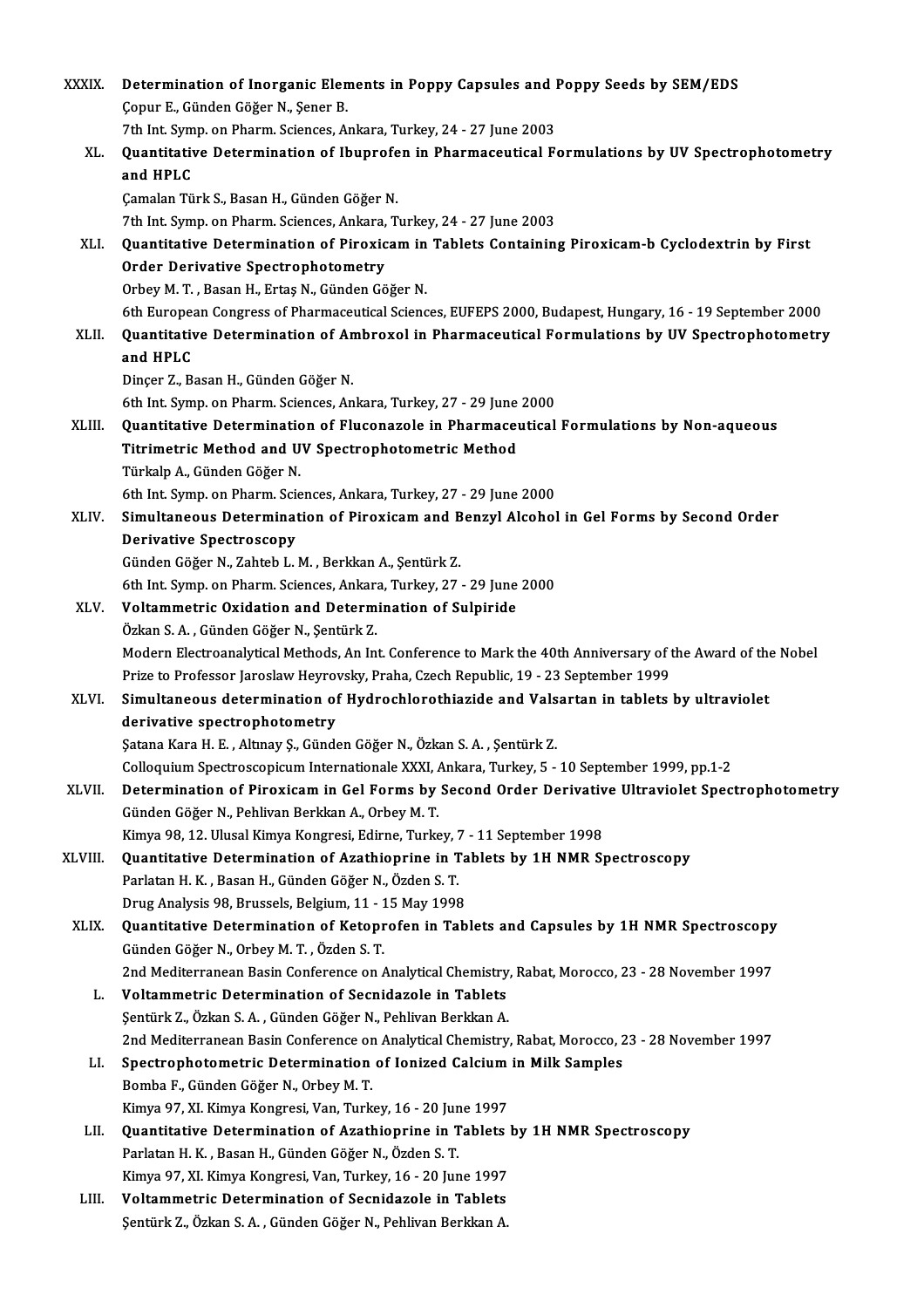| <b>XXXIX</b> | Determination of Inorganic Elements in Poppy Capsules and Poppy Seeds by SEM/EDS                                                                                         |
|--------------|--------------------------------------------------------------------------------------------------------------------------------------------------------------------------|
|              | Çopur E., Günden Göğer N., Şener B.                                                                                                                                      |
|              | 7th Int. Symp. on Pharm. Sciences, Ankara, Turkey, 24 - 27 June 2003                                                                                                     |
| XL.          | Quantitative Determination of Ibuprofen in Pharmaceutical Formulations by UV Spectrophotometry<br>and HPLC                                                               |
|              | Çamalan Türk S., Basan H., Günden Göğer N.                                                                                                                               |
|              | 7th Int. Symp. on Pharm. Sciences, Ankara, Turkey, 24 - 27 June 2003                                                                                                     |
| XLI.         | Quantitative Determination of Piroxicam in Tablets Containing Piroxicam-b Cyclodextrin by First<br><b>Order Derivative Spectrophotometry</b>                             |
|              | Orbey M. T., Basan H., Ertaş N., Günden Göğer N.                                                                                                                         |
|              | 6th European Congress of Pharmaceutical Sciences, EUFEPS 2000, Budapest, Hungary, 16 - 19 September 2000                                                                 |
| XLII.        | Quantitative Determination of Ambroxol in Pharmaceutical Formulations by UV Spectrophotometry<br>and HPLC                                                                |
|              | Dinçer Z., Basan H., Günden Göğer N.                                                                                                                                     |
|              | 6th Int. Symp. on Pharm. Sciences, Ankara, Turkey, 27 - 29 June 2000                                                                                                     |
| XLIII.       | Quantitative Determination of Fluconazole in Pharmaceutical Formulations by Non-aqueous                                                                                  |
|              | Titrimetric Method and UV Spectrophotometric Method                                                                                                                      |
|              | Türkalp A., Günden Göğer N.                                                                                                                                              |
|              | 6th Int. Symp. on Pharm. Sciences, Ankara, Turkey, 27 - 29 June 2000                                                                                                     |
| XLIV.        | Simultaneous Determination of Piroxicam and Benzyl Alcohol in Gel Forms by Second Order                                                                                  |
|              | <b>Derivative Spectroscopy</b>                                                                                                                                           |
|              | Günden Göğer N., Zahteb L. M., Berkkan A., Şentürk Z.                                                                                                                    |
|              | 6th Int. Symp. on Pharm. Sciences, Ankara, Turkey, 27 - 29 June 2000                                                                                                     |
| XLV.         | Voltammetric Oxidation and Determination of Sulpiride                                                                                                                    |
|              | Özkan S.A., Günden Göğer N., Şentürk Z.                                                                                                                                  |
|              | Modern Electroanalytical Methods, An Int. Conference to Mark the 40th Anniversary of the Award of the Nobel                                                              |
|              | Prize to Professor Jaroslaw Heyrovsky, Praha, Czech Republic, 19 - 23 September 1999                                                                                     |
| XLVI.        | Simultaneous determination of Hydrochlorothiazide and Valsartan in tablets by ultraviolet                                                                                |
|              | derivative spectrophotometry                                                                                                                                             |
|              | Şatana Kara H. E., Altınay Ş., Günden Göğer N., Özkan S. A., Şentürk Z.<br>Colloquium Spectroscopicum Internationale XXXI, Ankara, Turkey, 5 - 10 September 1999, pp.1-2 |
| XLVII.       | Determination of Piroxicam in Gel Forms by Second Order Derivative Ultraviolet Spectrophotometry                                                                         |
|              | Günden Göğer N., Pehlivan Berkkan A., Orbey M. T.                                                                                                                        |
|              | Kimya 98, 12. Ulusal Kimya Kongresi, Edirne, Turkey, 7 - 11 September 1998                                                                                               |
| XLVIII.      | Quantitative Determination of Azathioprine in Tablets by 1H NMR Spectroscopy                                                                                             |
|              | Parlatan H. K., Basan H., Günden Göğer N., Özden S. T.                                                                                                                   |
|              | Drug Analysis 98, Brussels, Belgium, 11 - 15 May 1998                                                                                                                    |
| XLIX.        | Quantitative Determination of Ketoprofen in Tablets and Capsules by 1H NMR Spectroscopy                                                                                  |
|              | Günden Göğer N., Orbey M.T., Özden S.T.                                                                                                                                  |
|              | 2nd Mediterranean Basin Conference on Analytical Chemistry, Rabat, Morocco, 23 - 28 November 1997                                                                        |
| L.           | Voltammetric Determination of Secnidazole in Tablets                                                                                                                     |
|              | Şentürk Z., Özkan S.A., Günden Göğer N., Pehlivan Berkkan A.                                                                                                             |
|              | 2nd Mediterranean Basin Conference on Analytical Chemistry, Rabat, Morocco, 23 - 28 November 1997                                                                        |
| LI.          | Spectrophotometric Determination of Ionized Calcium in Milk Samples                                                                                                      |
|              | Bomba F., Günden Göğer N., Orbey M.T.                                                                                                                                    |
|              | Kimya 97, XI. Kimya Kongresi, Van, Turkey, 16 - 20 June 1997                                                                                                             |
| LII.         | Quantitative Determination of Azathioprine in Tablets by 1H NMR Spectroscopy                                                                                             |
|              | Parlatan H. K., Basan H., Günden Göğer N., Özden S. T.                                                                                                                   |
|              | Kimya 97, XI. Kimya Kongresi, Van, Turkey, 16 - 20 June 1997                                                                                                             |
| LIII.        | Voltammetric Determination of Secnidazole in Tablets                                                                                                                     |
|              | Şentürk Z., Özkan S. A., Günden Göğer N., Pehlivan Berkkan A.                                                                                                            |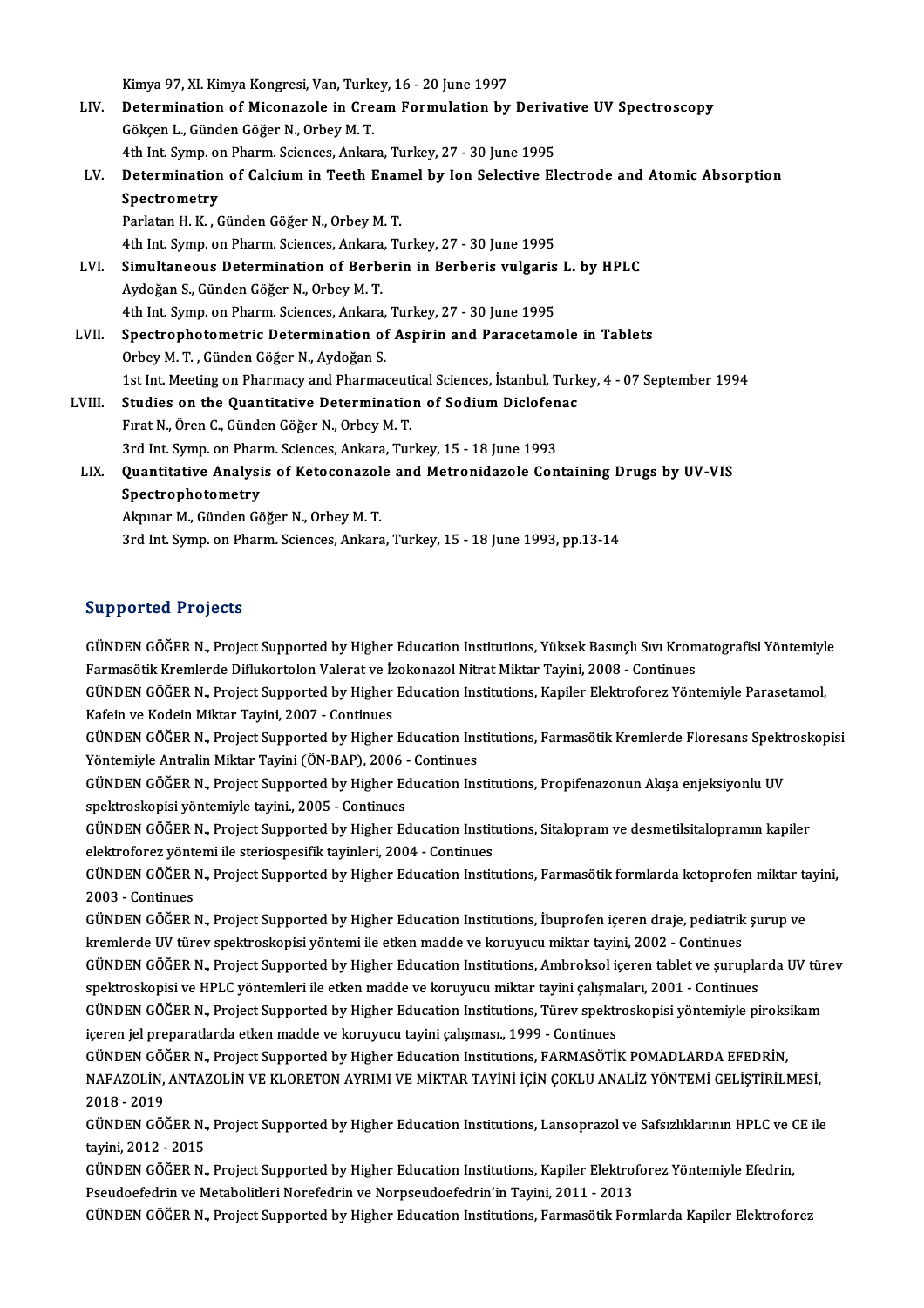Kimya 97, XI. Kimya Kongresi, Van, Turkey, 16 - 20 June 1997<br>Petermination of Misonagolo in Cream Formulation by

Kimya 97, XI. Kimya Kongresi, Van, Turkey, 16 - 20 June 1997<br>LIV. Determination of Miconazole in Cream Formulation by Derivative UV Spectroscopy Kimya 97, XI. Kimya Kongresi, Van, Turke<br>Determination of Miconazole in Cre<br>Gökçen L., Günden Göğer N., Orbey M. T.<br>4th Int Sumn on Pharm Ssianses Ankan Determination of Miconazole in Cream Formulation by Deriva<br>Gökçen L., Günden Göğer N., Orbey M. T.<br>4th Int. Symp. on Pharm. Sciences, Ankara, Turkey, 27 - 30 June 1995<br>Determination of Galeium in Teath Enamel by Jan Salast Gökçen L., Günden Göğer N., Orbey M. T.<br>4th Int. Symp. on Pharm. Sciences, Ankara, Turkey, 27 - 30 June 1995<br>LV. Determination of Calcium in Teeth Enamel by Ion Selective Electrode and Atomic Absorption<br>Spectrometry 4th Int. Symp. on Pharm. Sciences, Ankara, Turkey, 27 - 30 June 1995

## Parlatan H. K., Günden Göğer N., Orbey M. T. 4th Int. Symp. on Pharm. Sciences, Ankara, Turkey, 27 - 30 June 1995

- Parlatan H. K., Günden Göğer N., Orbey M. T.<br>4th Int. Symp. on Pharm. Sciences, Ankara, Turkey, 27 30 June 1995<br>LVI. Simultaneous Determination of Berberin in Berberis vulgaris L. by HPLC<br>Aydeğan S. Günden Göğer N. Orbey Aydoğan S., Günden Göğer N., Orbey M. T.<br>4th Int. Symp. on Pharm. Sciences, Ankara, Turkey, 27 - 30 June 1995 Simultaneous Determination of Berberin in Berberis vulgaris<br>Aydoğan S., Günden Göğer N., Orbey M. T.<br>4th Int. Symp. on Pharm. Sciences, Ankara, Turkey, 27 - 30 June 1995<br>Spectrophotometric Determination of Aspirin and Bers
- LVII. Spectrophotometric Determination of Aspirin and Paracetamole in Tablets Orbey M.T., Günden Göğer N., Aydoğan S. Spectrophotometric Determination of Aspirin and Paracetamole in Tablets<br>Orbey M. T. , Günden Göğer N., Aydoğan S.<br>1st Int. Meeting on Pharmacy and Pharmaceutical Sciences, İstanbul, Turkey, 4 - 07 September 1994<br>Studies on Orbey M. T. , Günden Göğer N., Aydoğan S.<br>1st Int. Meeting on Pharmacy and Pharmaceutical Sciences, İstanbul, Turk<br>LVIII. Studies on the Quantitative Determination of Sodium Diclofenac 1st Int. Meeting on Pharmacy and Pharmaceuti<br>Studies on the Quantitative Determinatio<br>Fırat N., Ören C., Günden Göğer N., Orbey M. T.
- Studies on the Quantitative Determination of Sodium Diclofenac<br>Firat N., Ören C., Günden Göğer N., Orbey M. T. 3rd Int. Symp. on Pharm. Sciences, Ankara, Turkey, 15 - 18 June 1993

## LIX. Quantitative Analysis of Ketoconazole and Metronidazole Containing Drugs by UV-VIS

Akpınar M., Günden Göğer N., Orbey M.T. 3rd Int. Symp. on Pharm. Sciences, Ankara, Turkey, 15 - 18 June 1993, pp.13-14

## Supported Projects

Supported Projects<br>GÜNDEN GÖĞER N., Project Supported by Higher Education Institutions, Yüksek Basınçlı Sıvı Kromatografisi Yöntemiyle<br>Farmaşötlik Kromlarda Diflukartalan Valarat ve İrakanaral Nitrat Miktar Tavini, 2008, C Bupporteur i rejects<br>GÜNDEN GÖĞER N., Project Supported by Higher Education Institutions, Yüksek Basınçlı Sıvı Krom<br>Farmasötik Kremlerde Diflukortolon Valerat ve İzokonazol Nitrat Miktar Tayini, 2008 - Continues<br>CÜNDEN GÖĞ GÜNDEN GÖĞER N., Project Supported by Higher Education Institutions, Yüksek Basınçlı Sıvı Kromatografisi Yöntemiyl<br>Farmasötik Kremlerde Diflukortolon Valerat ve İzokonazol Nitrat Miktar Tayini, 2008 - Continues<br>GÜNDEN GÖĞE

Farmasötik Kremlerde Diflukortolon Valerat ve İzokonazol Nitrat Miktar Tayini, 2008 - Continues<br>GÜNDEN GÖĞER N., Project Supported by Higher Education Institutions, Kapiler Elektroforez Yöntemiyle Parasetamol,<br>Kafein ve Ko GÜNDEN GÖĞER N., Project Supported by Higher Education Institutions, Kapiler Elektroforez Yöntemiyle Parasetamol,<br>Kafein ve Kodein Miktar Tayini, 2007 - Continues<br>GÜNDEN GÖĞER N., Project Supported by Higher Education Inst

Kafein ve Kodein Miktar Tayini, 2007 - Continues<br>GÜNDEN GÖĞER N., Project Supported by Higher Education Ins<br>Yöntemiyle Antralin Miktar Tayini (ÖN-BAP), 2006 - Continues<br>GÜNDEN GÖĞER N., Project Supported by Higher Educatio GÜNDEN GÖĞER N., Project Supported by Higher Education Institutions, Farmasötik Kremlerde Floresans Spekti<br>Yöntemiyle Antralin Miktar Tayini (ÖN-BAP), 2006 - Continues<br>GÜNDEN GÖĞER N., Project Supported by Higher Education

Yöntemiyle Antralin Miktar Tayini (ÖN-BAP), 2006<br>GÜNDEN GÖĞER N., Project Supported by Higher Ec<br>spektroskopisi yöntemiyle tayini., 2005 - Continues<br>GÜNDEN GÖĞER N. Broject Supported by Higher Ec GÜNDEN GÖĞER N., Project Supported by Higher Education Institutions, Propifenazonun Akışa enjeksiyonlu UV<br>spektroskopisi yöntemiyle tayini., 2005 - Continues<br>GÜNDEN GÖĞER N., Project Supported by Higher Education Instituti

spektroskopisi yöntemiyle tayini., 2005 - Continues<br>GÜNDEN GÖĞER N., Project Supported by Higher Education Instit<br>elektroforez yöntemi ile steriospesifik tayinleri, 2004 - Continues<br>GÜNDEN GÖĞER N., Project Supported by Hi GÜNDEN GÖĞER N., Project Supported by Higher Education Institutions, Sitalopram ve desmetilsitalopramın kapiler<br>elektroforez yöntemi ile steriospesifik tayinleri, 2004 - Continues<br>GÜNDEN GÖĞER N., Project Supported by High

elektroforez yönt<br>GÜNDEN GÖĞER I<br>2003 - Continues<br>CÜNDEN GÖĞER I GÜNDEN GÖĞER N., Project Supported by Higher Education Institutions, Farmasötik formlarda ketoprofen miktar tz<br>2003 - Continues<br>GÜNDEN GÖĞER N., Project Supported by Higher Education Institutions, İbuprofen içeren draje, p

2003 - Continues<br>GÜNDEN GÖĞER N., Project Supported by Higher Education Institutions, İbuprofen içeren draje, pediatrik<br>kremlerde UV türev spektroskopisi yöntemi ile etken madde ve koruyucu miktar tayini, 2002 - Continues<br> GÜNDEN GÖĞER N., Project Supported by Higher Education Institutions, İbuprofen içeren draje, pediatrik şurup ve<br>kremlerde UV türev spektroskopisi yöntemi ile etken madde ve koruyucu miktar tayini, 2002 - Continues<br>GÜNDEN G

kremlerde UV türev spektroskopisi yöntemi ile etken madde ve koruyucu miktar tayini, 2002 - Continues<br>GÜNDEN GÖĞER N., Project Supported by Higher Education Institutions, Ambroksol içeren tablet ve şurupla<br>spektroskopisi v GÜNDEN GÖĞER N., Project Supported by Higher Education Institutions, Ambroksol içeren tablet ve şuruplarda UV tür<br>spektroskopisi ve HPLC yöntemleri ile etken madde ve koruyucu miktar tayini çalışmaları, 2001 - Continues<br>GÜ

spektroskopisi ve HPLC yöntemleri ile etken madde ve koruyucu miktar tayini çalışmaları, 2001 - Continues<br>GÜNDEN GÖĞER N., Project Supported by Higher Education Institutions, Türev spektroskopisi yöntemiyle piroks:<br>içeren GÜNDEN GÖĞER N., Project Supported by Higher Education Institutions, Türev spektroskopisi yöntemiyle piroksikam

içeren jel preparatlarda etken madde ve koruyucu tayini çalışması., 1999 - Continues<br>GÜNDEN GÖĞER N., Project Supported by Higher Education Institutions, FARMASÖTİK POMADLARDA EFEDRİN,<br>NAFAZOLİN, ANTAZOLİN VE KLORETON AYRI GÜNDEN GÖÖ<br>NAFAZOLİN,<br>2018 - 2019<br>CÜNDEN GÖÖ NAFAZOLİN, ANTAZOLİN VE KLORETON AYRIMI VE MİKTAR TAYİNİ İÇİN ÇOKLU ANALİZ YÖNTEMİ GELİŞTİRİLMESİ,<br>2018 - 2019<br>GÜNDEN GÖĞER N., Project Supported by Higher Education Institutions, Lansoprazol ve Safsızlıklarının HPLC ve CE

2018 - 2019<br>GÜNDEN GÖĞER N., Project Supported by Higher Education Institutions, Lansoprazol ve Safsızlıklarının HPLC ve CE ile<br>tavini, 2012 - 2015 GÜNDEN GÖĞER N., Project Supported by Higher Education Institutions, Lansoprazol ve Safsızlıklarının HPLC ve (<br>tayini, 2012 - 2015<br>GÜNDEN GÖĞER N., Project Supported by Higher Education Institutions, Kapiler Elektroforez Y

tayini, 2012 - 2015<br>GÜNDEN GÖĞER N., Project Supported by Higher Education Institutions, Kapiler Elektrol<br>Pseudoefedrin ve Metabolitleri Norefedrin ve Norpseudoefedrin'in Tayini, 2011 - 2013<br>GÜNDEN GÖĞER N., Preject Suppor GÜNDEN GÖĞER N., Project Supported by Higher Education Institutions, Kapiler Elektroforez Yöntemiyle Efedrin,<br>Pseudoefedrin ve Metabolitleri Norefedrin ve Norpseudoefedrin'in Tayini, 2011 - 2013<br>GÜNDEN GÖĞER N., Project Su